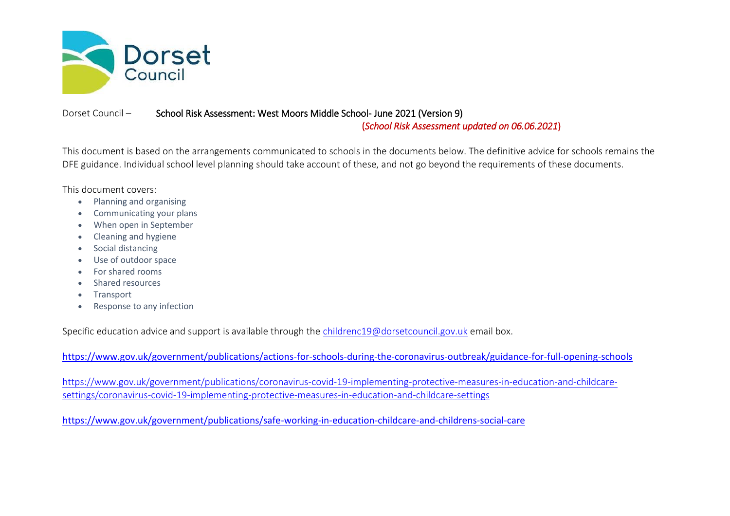

## Dorset Council – School Risk Assessment: West Moors Middle School- June 2021 (Version 9)

(*School Risk Assessment updated on 06.06.2021*)

This document is based on the arrangements communicated to schools in the documents below. The definitive advice for schools remains the DFE guidance. Individual school level planning should take account of these, and not go beyond the requirements of these documents.

This document covers:

- Planning and organising
- Communicating your plans
- When open in September
- Cleaning and hygiene
- Social distancing
- Use of outdoor space
- For shared rooms
- Shared resources
- Transport
- Response to any infection

Specific education advice and support is available through the [childrenc19@dorsetcouncil.gov.uk](mailto:childrenc19@dorsetcouncil.gov.uk) email box.

<https://www.gov.uk/government/publications/actions-for-schools-during-the-coronavirus-outbreak/guidance-for-full-opening-schools>

[https://www.gov.uk/government/publications/coronavirus-covid-19-implementing-protective-measures-in-education-and-childcare](https://www.gov.uk/government/publications/coronavirus-covid-19-implementing-protective-measures-in-education-and-childcare-settings/coronavirus-covid-19-implementing-protective-measures-in-education-and-childcare-settings)[settings/coronavirus-covid-19-implementing-protective-measures-in-education-and-childcare-settings](https://www.gov.uk/government/publications/coronavirus-covid-19-implementing-protective-measures-in-education-and-childcare-settings/coronavirus-covid-19-implementing-protective-measures-in-education-and-childcare-settings)

<https://www.gov.uk/government/publications/safe-working-in-education-childcare-and-childrens-social-care>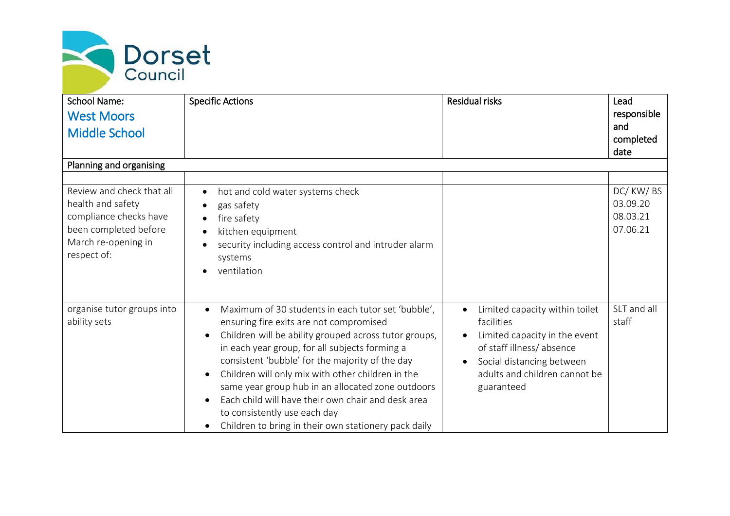

| <b>School Name:</b><br><b>West Moors</b>                                                                                                | <b>Specific Actions</b>                                                                                                                                                                                                                                                                                                                                                                                                                                                                                                                       | <b>Residual risks</b>                                                                                                                                                                              | Lead<br>responsible                          |
|-----------------------------------------------------------------------------------------------------------------------------------------|-----------------------------------------------------------------------------------------------------------------------------------------------------------------------------------------------------------------------------------------------------------------------------------------------------------------------------------------------------------------------------------------------------------------------------------------------------------------------------------------------------------------------------------------------|----------------------------------------------------------------------------------------------------------------------------------------------------------------------------------------------------|----------------------------------------------|
| <b>Middle School</b>                                                                                                                    |                                                                                                                                                                                                                                                                                                                                                                                                                                                                                                                                               |                                                                                                                                                                                                    | and<br>completed<br>date                     |
| Planning and organising                                                                                                                 |                                                                                                                                                                                                                                                                                                                                                                                                                                                                                                                                               |                                                                                                                                                                                                    |                                              |
|                                                                                                                                         |                                                                                                                                                                                                                                                                                                                                                                                                                                                                                                                                               |                                                                                                                                                                                                    |                                              |
| Review and check that all<br>health and safety<br>compliance checks have<br>been completed before<br>March re-opening in<br>respect of: | hot and cold water systems check<br>$\bullet$<br>gas safety<br>$\bullet$<br>fire safety<br>$\bullet$<br>kitchen equipment<br>$\bullet$<br>security including access control and intruder alarm<br>systems<br>ventilation                                                                                                                                                                                                                                                                                                                      |                                                                                                                                                                                                    | DC/KW/BS<br>03.09.20<br>08.03.21<br>07.06.21 |
| organise tutor groups into<br>ability sets                                                                                              | Maximum of 30 students in each tutor set 'bubble',<br>$\bullet$<br>ensuring fire exits are not compromised<br>Children will be ability grouped across tutor groups,<br>in each year group, for all subjects forming a<br>consistent 'bubble' for the majority of the day<br>Children will only mix with other children in the<br>$\bullet$<br>same year group hub in an allocated zone outdoors<br>Each child will have their own chair and desk area<br>to consistently use each day<br>Children to bring in their own stationery pack daily | Limited capacity within toilet<br>$\bullet$<br>facilities<br>Limited capacity in the event<br>of staff illness/absence<br>Social distancing between<br>adults and children cannot be<br>guaranteed | SLT and all<br>staff                         |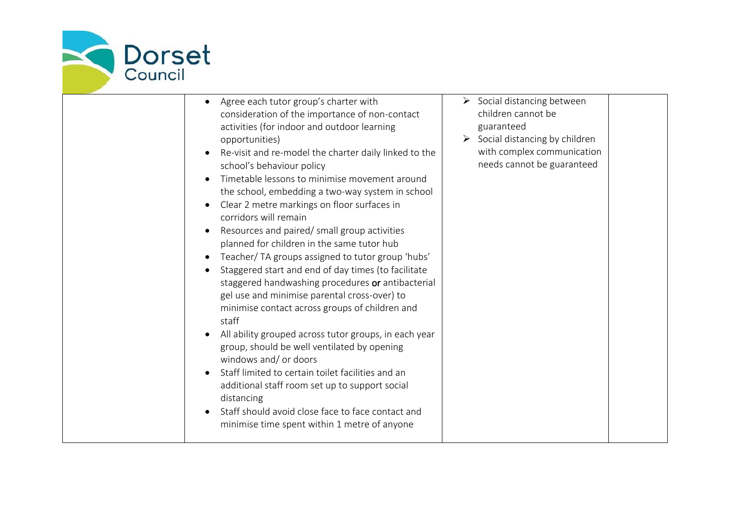

| Agree each tutor group's charter with<br>consideration of the importance of non-contact<br>activities (for indoor and outdoor learning<br>opportunities)<br>Re-visit and re-model the charter daily linked to the<br>school's behaviour policy<br>Timetable lessons to minimise movement around<br>the school, embedding a two-way system in school<br>Clear 2 metre markings on floor surfaces in<br>corridors will remain<br>Resources and paired/ small group activities<br>planned for children in the same tutor hub<br>Teacher/ TA groups assigned to tutor group 'hubs'<br>Staggered start and end of day times (to facilitate<br>staggered handwashing procedures or antibacterial<br>gel use and minimise parental cross-over) to<br>minimise contact across groups of children and<br>staff<br>All ability grouped across tutor groups, in each year<br>group, should be well ventilated by opening<br>windows and/ or doors<br>Staff limited to certain toilet facilities and an<br>additional staff room set up to support social<br>distancing<br>Staff should avoid close face to face contact and<br>minimise time spent within 1 metre of anyone | $\triangleright$ Social distancing between<br>children cannot be<br>guaranteed<br>$\triangleright$ Social distancing by children<br>with complex communication<br>needs cannot be guaranteed |
|------------------------------------------------------------------------------------------------------------------------------------------------------------------------------------------------------------------------------------------------------------------------------------------------------------------------------------------------------------------------------------------------------------------------------------------------------------------------------------------------------------------------------------------------------------------------------------------------------------------------------------------------------------------------------------------------------------------------------------------------------------------------------------------------------------------------------------------------------------------------------------------------------------------------------------------------------------------------------------------------------------------------------------------------------------------------------------------------------------------------------------------------------------------|----------------------------------------------------------------------------------------------------------------------------------------------------------------------------------------------|
|------------------------------------------------------------------------------------------------------------------------------------------------------------------------------------------------------------------------------------------------------------------------------------------------------------------------------------------------------------------------------------------------------------------------------------------------------------------------------------------------------------------------------------------------------------------------------------------------------------------------------------------------------------------------------------------------------------------------------------------------------------------------------------------------------------------------------------------------------------------------------------------------------------------------------------------------------------------------------------------------------------------------------------------------------------------------------------------------------------------------------------------------------------------|----------------------------------------------------------------------------------------------------------------------------------------------------------------------------------------------|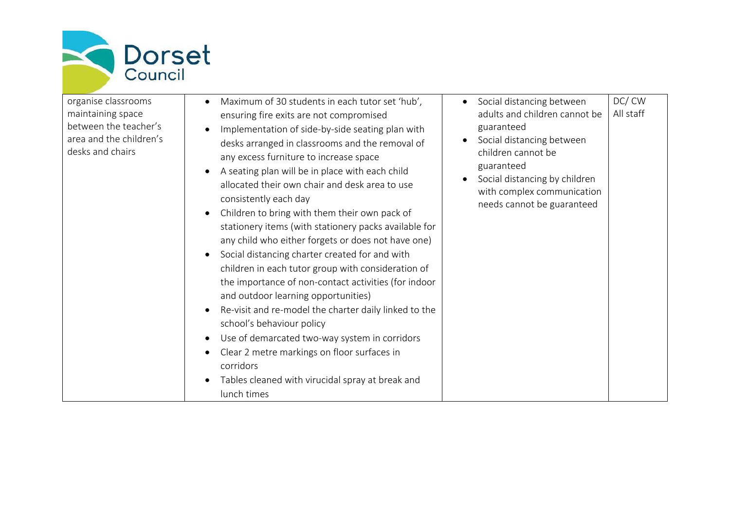

| organise classrooms                         | Maximum of 30 students in each tutor set 'hub',                                                                                                                                                                                                                                                                                                                                                                                                                                                                                                                                                                                                                                                                                                                                                                                                                                                           | Social distancing between                                                                                                                                  | DC/CW     |
|---------------------------------------------|-----------------------------------------------------------------------------------------------------------------------------------------------------------------------------------------------------------------------------------------------------------------------------------------------------------------------------------------------------------------------------------------------------------------------------------------------------------------------------------------------------------------------------------------------------------------------------------------------------------------------------------------------------------------------------------------------------------------------------------------------------------------------------------------------------------------------------------------------------------------------------------------------------------|------------------------------------------------------------------------------------------------------------------------------------------------------------|-----------|
| maintaining space                           | ensuring fire exits are not compromised                                                                                                                                                                                                                                                                                                                                                                                                                                                                                                                                                                                                                                                                                                                                                                                                                                                                   | adults and children cannot be                                                                                                                              | All staff |
| between the teacher's                       |                                                                                                                                                                                                                                                                                                                                                                                                                                                                                                                                                                                                                                                                                                                                                                                                                                                                                                           | guaranteed                                                                                                                                                 |           |
| area and the children's<br>desks and chairs | Implementation of side-by-side seating plan with<br>desks arranged in classrooms and the removal of<br>any excess furniture to increase space<br>A seating plan will be in place with each child<br>allocated their own chair and desk area to use<br>consistently each day<br>Children to bring with them their own pack of<br>stationery items (with stationery packs available for<br>any child who either forgets or does not have one)<br>Social distancing charter created for and with<br>children in each tutor group with consideration of<br>the importance of non-contact activities (for indoor<br>and outdoor learning opportunities)<br>Re-visit and re-model the charter daily linked to the<br>school's behaviour policy<br>Use of demarcated two-way system in corridors<br>Clear 2 metre markings on floor surfaces in<br>corridors<br>Tables cleaned with virucidal spray at break and | Social distancing between<br>children cannot be<br>guaranteed<br>Social distancing by children<br>with complex communication<br>needs cannot be guaranteed |           |
|                                             | lunch times                                                                                                                                                                                                                                                                                                                                                                                                                                                                                                                                                                                                                                                                                                                                                                                                                                                                                               |                                                                                                                                                            |           |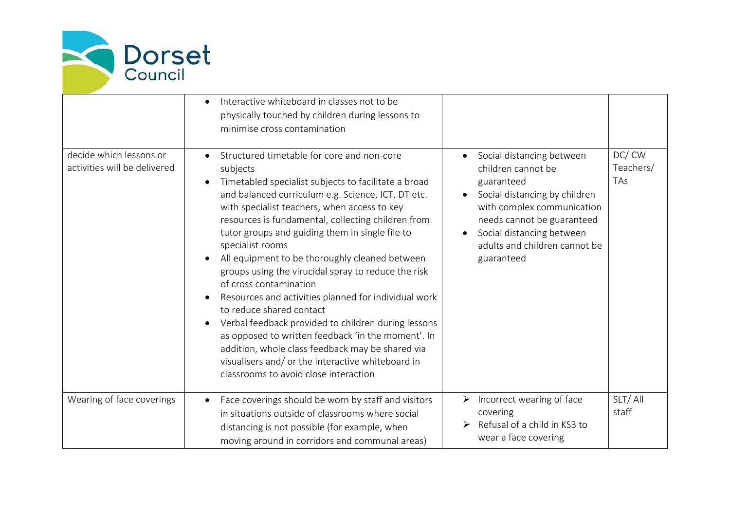

|                                                         | Interactive whiteboard in classes not to be<br>physically touched by children during lessons to<br>minimise cross contamination                                                                                                                                                                                                                                                                                                                                                                                                                                                                                                                                                                                                                                                                                                         |                                                                                                                                                                                                                                        |                           |
|---------------------------------------------------------|-----------------------------------------------------------------------------------------------------------------------------------------------------------------------------------------------------------------------------------------------------------------------------------------------------------------------------------------------------------------------------------------------------------------------------------------------------------------------------------------------------------------------------------------------------------------------------------------------------------------------------------------------------------------------------------------------------------------------------------------------------------------------------------------------------------------------------------------|----------------------------------------------------------------------------------------------------------------------------------------------------------------------------------------------------------------------------------------|---------------------------|
| decide which lessons or<br>activities will be delivered | Structured timetable for core and non-core<br>subjects<br>Timetabled specialist subjects to facilitate a broad<br>and balanced curriculum e.g. Science, ICT, DT etc.<br>with specialist teachers, when access to key<br>resources is fundamental, collecting children from<br>tutor groups and guiding them in single file to<br>specialist rooms<br>All equipment to be thoroughly cleaned between<br>groups using the virucidal spray to reduce the risk<br>of cross contamination<br>Resources and activities planned for individual work<br>to reduce shared contact<br>Verbal feedback provided to children during lessons<br>as opposed to written feedback 'in the moment'. In<br>addition, whole class feedback may be shared via<br>visualisers and/ or the interactive whiteboard in<br>classrooms to avoid close interaction | Social distancing between<br>children cannot be<br>guaranteed<br>Social distancing by children<br>with complex communication<br>needs cannot be guaranteed<br>Social distancing between<br>adults and children cannot be<br>guaranteed | DC/CW<br>Teachers/<br>TAs |
| Wearing of face coverings                               | Face coverings should be worn by staff and visitors<br>$\bullet$<br>in situations outside of classrooms where social<br>distancing is not possible (for example, when<br>moving around in corridors and communal areas)                                                                                                                                                                                                                                                                                                                                                                                                                                                                                                                                                                                                                 | $\triangleright$ Incorrect wearing of face<br>covering<br>Refusal of a child in KS3 to<br>➤<br>wear a face covering                                                                                                                    | SLT/All<br>staff          |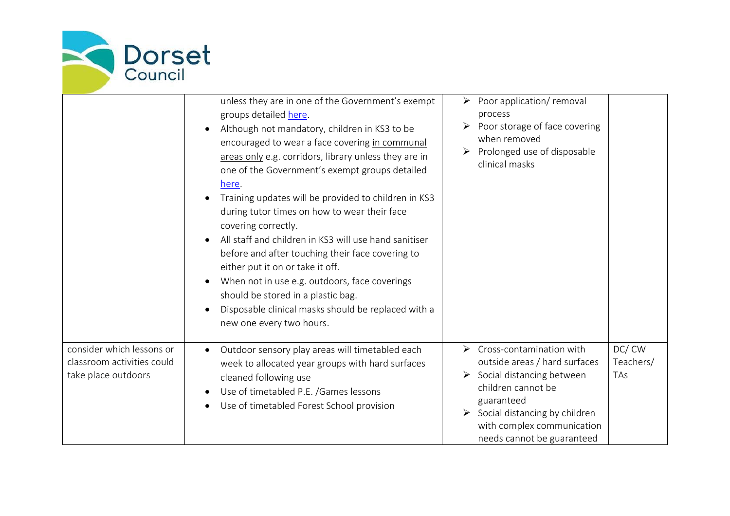

|                                                                                | unless they are in one of the Government's exempt<br>groups detailed here.<br>Although not mandatory, children in KS3 to be<br>encouraged to wear a face covering in communal<br>areas only e.g. corridors, library unless they are in<br>one of the Government's exempt groups detailed<br>here.<br>Training updates will be provided to children in KS3<br>during tutor times on how to wear their face<br>covering correctly.<br>All staff and children in KS3 will use hand sanitiser<br>before and after touching their face covering to<br>either put it on or take it off.<br>When not in use e.g. outdoors, face coverings<br>should be stored in a plastic bag.<br>Disposable clinical masks should be replaced with a<br>new one every two hours. | Poor application/ removal<br>process<br>Poor storage of face covering<br>when removed<br>Prolonged use of disposable<br>clinical masks                                                                                                                                                         |
|--------------------------------------------------------------------------------|-------------------------------------------------------------------------------------------------------------------------------------------------------------------------------------------------------------------------------------------------------------------------------------------------------------------------------------------------------------------------------------------------------------------------------------------------------------------------------------------------------------------------------------------------------------------------------------------------------------------------------------------------------------------------------------------------------------------------------------------------------------|------------------------------------------------------------------------------------------------------------------------------------------------------------------------------------------------------------------------------------------------------------------------------------------------|
| consider which lessons or<br>classroom activities could<br>take place outdoors | Outdoor sensory play areas will timetabled each<br>week to allocated year groups with hard surfaces<br>cleaned following use<br>Use of timetabled P.E. /Games lessons<br>Use of timetabled Forest School provision                                                                                                                                                                                                                                                                                                                                                                                                                                                                                                                                          | DC/CW<br>Cross-contamination with<br>$\blacktriangleright$<br>outside areas / hard surfaces<br>Teachers/<br>$\triangleright$ Social distancing between<br>TAs<br>children cannot be<br>guaranteed<br>Social distancing by children<br>with complex communication<br>needs cannot be guaranteed |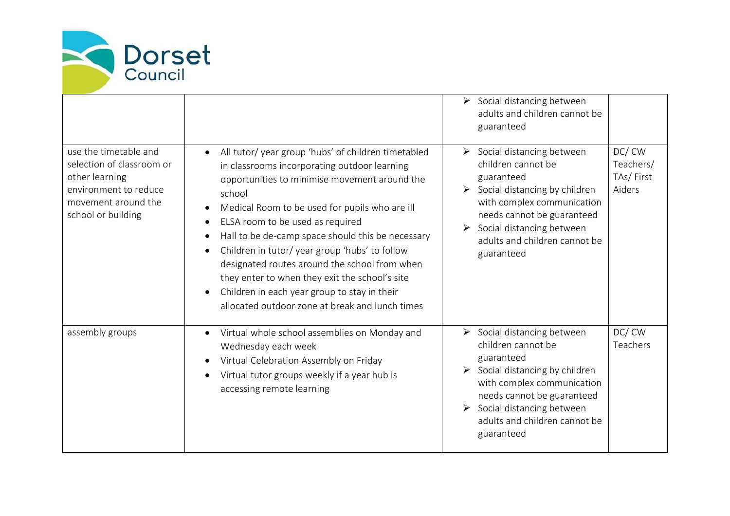

|                                                                                                                                            |                                                                                                                                                                                                                                                                                                                                                                                                                                                                                                                                                                               | $\triangleright$ Social distancing between<br>adults and children cannot be<br>guaranteed                                                                                                                                                                                                                      |
|--------------------------------------------------------------------------------------------------------------------------------------------|-------------------------------------------------------------------------------------------------------------------------------------------------------------------------------------------------------------------------------------------------------------------------------------------------------------------------------------------------------------------------------------------------------------------------------------------------------------------------------------------------------------------------------------------------------------------------------|----------------------------------------------------------------------------------------------------------------------------------------------------------------------------------------------------------------------------------------------------------------------------------------------------------------|
| use the timetable and<br>selection of classroom or<br>other learning<br>environment to reduce<br>movement around the<br>school or building | All tutor/ year group 'hubs' of children timetabled<br>$\bullet$<br>in classrooms incorporating outdoor learning<br>opportunities to minimise movement around the<br>school<br>Medical Room to be used for pupils who are ill<br>ELSA room to be used as required<br>Hall to be de-camp space should this be necessary<br>Children in tutor/year group 'hubs' to follow<br>designated routes around the school from when<br>they enter to when they exit the school's site<br>Children in each year group to stay in their<br>allocated outdoor zone at break and lunch times | DC/CW<br>$\triangleright$ Social distancing between<br>children cannot be<br>Teachers/<br>TAs/First<br>guaranteed<br>Social distancing by children<br>Aiders<br>≻<br>with complex communication<br>needs cannot be guaranteed<br>Social distancing between<br>adults and children cannot be<br>guaranteed      |
| assembly groups                                                                                                                            | Virtual whole school assemblies on Monday and<br>Wednesday each week<br>Virtual Celebration Assembly on Friday<br>Virtual tutor groups weekly if a year hub is<br>accessing remote learning                                                                                                                                                                                                                                                                                                                                                                                   | DC/CW<br>$\triangleright$ Social distancing between<br>children cannot be<br>Teachers<br>guaranteed<br>$\triangleright$ Social distancing by children<br>with complex communication<br>needs cannot be guaranteed<br>$\triangleright$ Social distancing between<br>adults and children cannot be<br>guaranteed |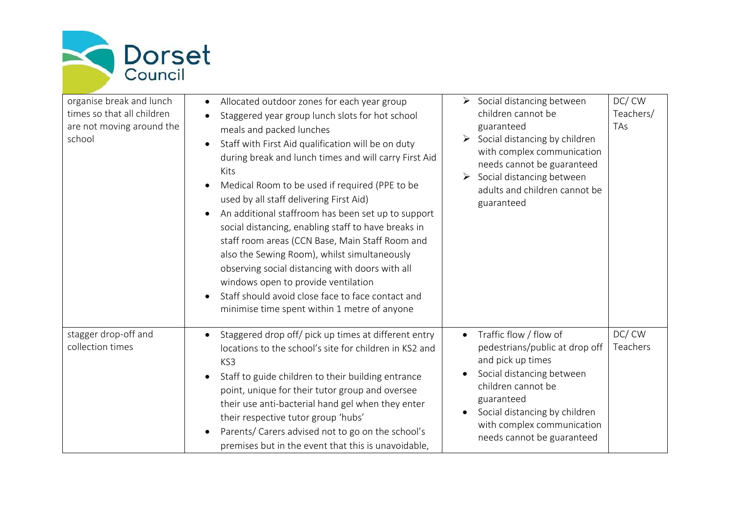

| organise break and lunch<br>times so that all children<br>are not moving around the<br>school | Allocated outdoor zones for each year group<br>Staggered year group lunch slots for hot school<br>meals and packed lunches<br>Staff with First Aid qualification will be on duty<br>$\bullet$<br>during break and lunch times and will carry First Aid<br>Kits<br>Medical Room to be used if required (PPE to be<br>used by all staff delivering First Aid)<br>An additional staffroom has been set up to support<br>social distancing, enabling staff to have breaks in<br>staff room areas (CCN Base, Main Staff Room and<br>also the Sewing Room), whilst simultaneously<br>observing social distancing with doors with all<br>windows open to provide ventilation<br>Staff should avoid close face to face contact and<br>minimise time spent within 1 metre of anyone | $\triangleright$ Social distancing between<br>children cannot be<br>guaranteed<br>$\triangleright$ Social distancing by children<br>with complex communication<br>needs cannot be guaranteed<br>Social distancing between<br>$\blacktriangleright$<br>adults and children cannot be<br>guaranteed | DC/CW<br>Teachers/<br><b>TAs</b> |
|-----------------------------------------------------------------------------------------------|----------------------------------------------------------------------------------------------------------------------------------------------------------------------------------------------------------------------------------------------------------------------------------------------------------------------------------------------------------------------------------------------------------------------------------------------------------------------------------------------------------------------------------------------------------------------------------------------------------------------------------------------------------------------------------------------------------------------------------------------------------------------------|---------------------------------------------------------------------------------------------------------------------------------------------------------------------------------------------------------------------------------------------------------------------------------------------------|----------------------------------|
| stagger drop-off and<br>collection times                                                      | Staggered drop off/ pick up times at different entry<br>locations to the school's site for children in KS2 and<br>KS3<br>Staff to guide children to their building entrance<br>point, unique for their tutor group and oversee<br>their use anti-bacterial hand gel when they enter<br>their respective tutor group 'hubs'<br>Parents/ Carers advised not to go on the school's<br>premises but in the event that this is unavoidable,                                                                                                                                                                                                                                                                                                                                     | Traffic flow / flow of<br>$\bullet$<br>pedestrians/public at drop off<br>and pick up times<br>Social distancing between<br>children cannot be<br>guaranteed<br>Social distancing by children<br>with complex communication<br>needs cannot be guaranteed                                          | DC/CW<br>Teachers                |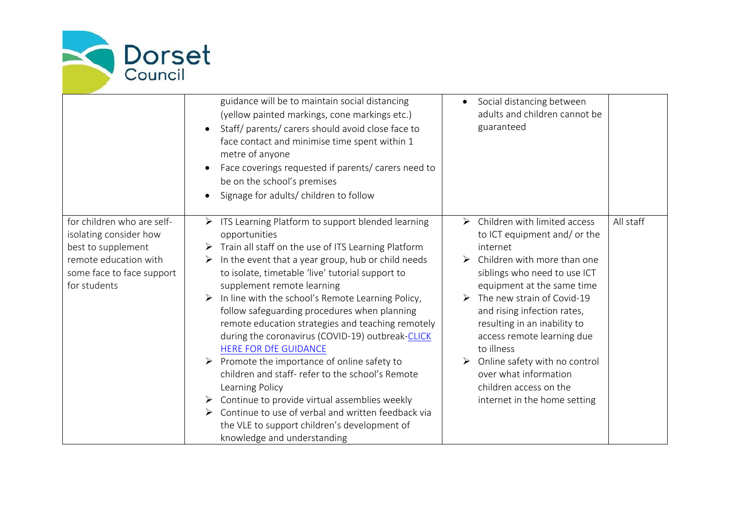

|                                                                                                                                                  | guidance will be to maintain social distancing<br>(yellow painted markings, cone markings etc.)<br>Staff/ parents/ carers should avoid close face to<br>$\bullet$<br>face contact and minimise time spent within 1<br>metre of anyone<br>Face coverings requested if parents/ carers need to<br>be on the school's premises<br>Signage for adults/ children to follow                                                                                                                                                                                                                                                                                                                                                                                                                                                                                                                   | Social distancing between<br>$\bullet$<br>adults and children cannot be<br>guaranteed                                                                                                                                                                                                                                                                                                                                                                                                 |           |
|--------------------------------------------------------------------------------------------------------------------------------------------------|-----------------------------------------------------------------------------------------------------------------------------------------------------------------------------------------------------------------------------------------------------------------------------------------------------------------------------------------------------------------------------------------------------------------------------------------------------------------------------------------------------------------------------------------------------------------------------------------------------------------------------------------------------------------------------------------------------------------------------------------------------------------------------------------------------------------------------------------------------------------------------------------|---------------------------------------------------------------------------------------------------------------------------------------------------------------------------------------------------------------------------------------------------------------------------------------------------------------------------------------------------------------------------------------------------------------------------------------------------------------------------------------|-----------|
| for children who are self-<br>isolating consider how<br>best to supplement<br>remote education with<br>some face to face support<br>for students | $\triangleright$ ITS Learning Platform to support blended learning<br>opportunities<br>$\triangleright$ Train all staff on the use of ITS Learning Platform<br>In the event that a year group, hub or child needs<br>➤<br>to isolate, timetable 'live' tutorial support to<br>supplement remote learning<br>In line with the school's Remote Learning Policy,<br>follow safeguarding procedures when planning<br>remote education strategies and teaching remotely<br>during the coronavirus (COVID-19) outbreak-CLICK<br><b>HERE FOR DfE GUIDANCE</b><br>Promote the importance of online safety to<br>children and staff- refer to the school's Remote<br>Learning Policy<br>$\triangleright$ Continue to provide virtual assemblies weekly<br>Continue to use of verbal and written feedback via<br>➤<br>the VLE to support children's development of<br>knowledge and understanding | $\triangleright$ Children with limited access<br>to ICT equipment and/ or the<br>internet<br>$\triangleright$ Children with more than one<br>siblings who need to use ICT<br>equipment at the same time<br>$\triangleright$ The new strain of Covid-19<br>and rising infection rates,<br>resulting in an inability to<br>access remote learning due<br>to illness<br>Online safety with no control<br>over what information<br>children access on the<br>internet in the home setting | All staff |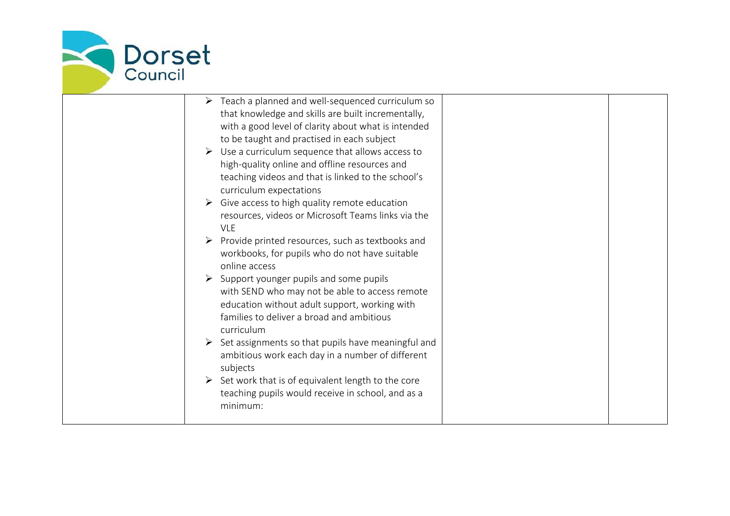

| $\triangleright$ Teach a planned and well-sequenced curriculum so                          |
|--------------------------------------------------------------------------------------------|
| that knowledge and skills are built incrementally,                                         |
| with a good level of clarity about what is intended                                        |
| to be taught and practised in each subject                                                 |
| Use a curriculum sequence that allows access to                                            |
| high-quality online and offline resources and                                              |
| teaching videos and that is linked to the school's                                         |
| curriculum expectations                                                                    |
| Give access to high quality remote education                                               |
| resources, videos or Microsoft Teams links via the                                         |
| <b>VLE</b>                                                                                 |
| Provide printed resources, such as textbooks and                                           |
| workbooks, for pupils who do not have suitable                                             |
| online access                                                                              |
| $\triangleright$ Support younger pupils and some pupils                                    |
| with SEND who may not be able to access remote                                             |
|                                                                                            |
| education without adult support, working with<br>families to deliver a broad and ambitious |
| curriculum                                                                                 |
|                                                                                            |
| $\triangleright$ Set assignments so that pupils have meaningful and                        |
| ambitious work each day in a number of different                                           |
| subjects                                                                                   |
| Set work that is of equivalent length to the core                                          |
| teaching pupils would receive in school, and as a                                          |
| minimum:                                                                                   |
|                                                                                            |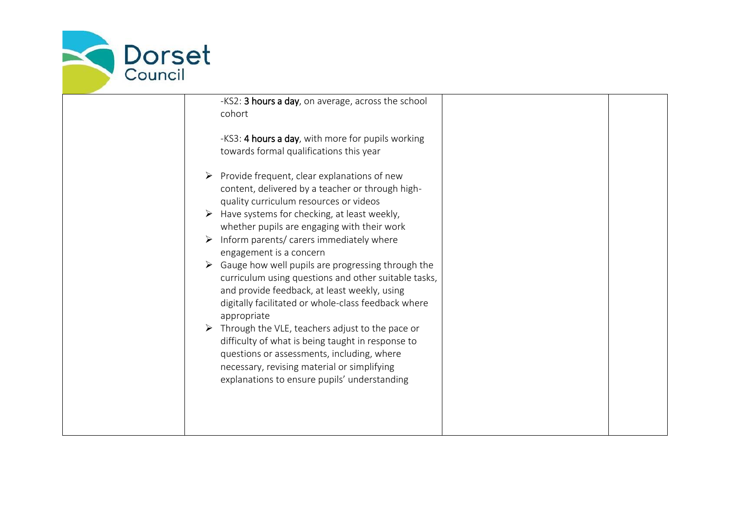

-KS2: 3 hours a day, on average, across the school cohort -KS3: 4 hours a day, with more for pupils working towards formal qualifications this year  $\triangleright$  Provide frequent, clear explanations of new content, delivered by a teacher or through highquality curriculum resources or videos  $\triangleright$  Have systems for checking, at least weekly, whether pupils are engaging with their work  $\triangleright$  Inform parents/ carers immediately where engagement is a concern  $\triangleright$  Gauge how well pupils are progressing through the curriculum using questions and other suitable tasks, and provide feedback, at least weekly, using digitally facilitated or whole-class feedback where appropriate  $\triangleright$  Through the VLE, teachers adjust to the pace or difficulty of what is being taught in response to questions or assessments, including, where necessary, revising material or simplifying explanations to ensure pupils' understanding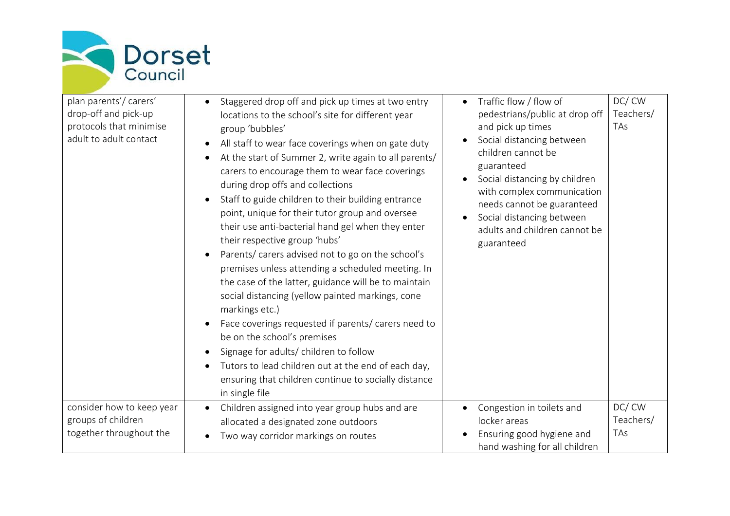

| plan parents'/ carers'<br>drop-off and pick-up<br>protocols that minimise<br>adult to adult contact | Staggered drop off and pick up times at two entry<br>locations to the school's site for different year<br>group 'bubbles'<br>All staff to wear face coverings when on gate duty<br>At the start of Summer 2, write again to all parents/<br>carers to encourage them to wear face coverings<br>during drop offs and collections<br>Staff to guide children to their building entrance<br>point, unique for their tutor group and oversee<br>their use anti-bacterial hand gel when they enter<br>their respective group 'hubs'<br>Parents/ carers advised not to go on the school's<br>premises unless attending a scheduled meeting. In<br>the case of the latter, guidance will be to maintain<br>social distancing (yellow painted markings, cone<br>markings etc.)<br>Face coverings requested if parents/ carers need to<br>be on the school's premises<br>Signage for adults/ children to follow<br>Tutors to lead children out at the end of each day,<br>ensuring that children continue to socially distance<br>in single file | DC/CW<br>Traffic flow / flow of<br>Teachers/<br>pedestrians/public at drop off<br>and pick up times<br>TAs<br>Social distancing between<br>children cannot be<br>guaranteed<br>Social distancing by children<br>with complex communication<br>needs cannot be guaranteed<br>Social distancing between<br>adults and children cannot be<br>guaranteed |
|-----------------------------------------------------------------------------------------------------|-----------------------------------------------------------------------------------------------------------------------------------------------------------------------------------------------------------------------------------------------------------------------------------------------------------------------------------------------------------------------------------------------------------------------------------------------------------------------------------------------------------------------------------------------------------------------------------------------------------------------------------------------------------------------------------------------------------------------------------------------------------------------------------------------------------------------------------------------------------------------------------------------------------------------------------------------------------------------------------------------------------------------------------------|------------------------------------------------------------------------------------------------------------------------------------------------------------------------------------------------------------------------------------------------------------------------------------------------------------------------------------------------------|
| consider how to keep year                                                                           | Children assigned into year group hubs and are                                                                                                                                                                                                                                                                                                                                                                                                                                                                                                                                                                                                                                                                                                                                                                                                                                                                                                                                                                                          | DC/CW<br>Congestion in toilets and                                                                                                                                                                                                                                                                                                                   |
| groups of children                                                                                  | allocated a designated zone outdoors                                                                                                                                                                                                                                                                                                                                                                                                                                                                                                                                                                                                                                                                                                                                                                                                                                                                                                                                                                                                    | Teachers/<br>locker areas                                                                                                                                                                                                                                                                                                                            |
| together throughout the                                                                             | Two way corridor markings on routes                                                                                                                                                                                                                                                                                                                                                                                                                                                                                                                                                                                                                                                                                                                                                                                                                                                                                                                                                                                                     | TAs<br>Ensuring good hygiene and<br>hand washing for all children                                                                                                                                                                                                                                                                                    |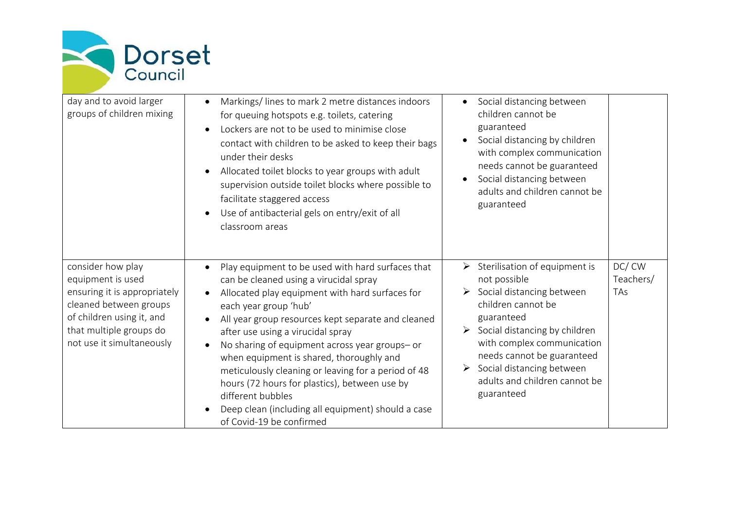

| day and to avoid larger<br>groups of children mixing                                                                                                                                  | Markings/lines to mark 2 metre distances indoors<br>for queuing hotspots e.g. toilets, catering<br>Lockers are not to be used to minimise close<br>contact with children to be asked to keep their bags<br>under their desks<br>Allocated toilet blocks to year groups with adult<br>supervision outside toilet blocks where possible to<br>facilitate staggered access<br>Use of antibacterial gels on entry/exit of all<br>classroom areas                                                                                                                                    | Social distancing between<br>children cannot be<br>guaranteed<br>Social distancing by children<br>with complex communication<br>needs cannot be guaranteed<br>Social distancing between<br>adults and children cannot be<br>guaranteed                                                                                                                      |                           |
|---------------------------------------------------------------------------------------------------------------------------------------------------------------------------------------|---------------------------------------------------------------------------------------------------------------------------------------------------------------------------------------------------------------------------------------------------------------------------------------------------------------------------------------------------------------------------------------------------------------------------------------------------------------------------------------------------------------------------------------------------------------------------------|-------------------------------------------------------------------------------------------------------------------------------------------------------------------------------------------------------------------------------------------------------------------------------------------------------------------------------------------------------------|---------------------------|
| consider how play<br>equipment is used<br>ensuring it is appropriately<br>cleaned between groups<br>of children using it, and<br>that multiple groups do<br>not use it simultaneously | Play equipment to be used with hard surfaces that<br>can be cleaned using a virucidal spray<br>Allocated play equipment with hard surfaces for<br>each year group 'hub'<br>All year group resources kept separate and cleaned<br>after use using a virucidal spray<br>No sharing of equipment across year groups- or<br>when equipment is shared, thoroughly and<br>meticulously cleaning or leaving for a period of 48<br>hours (72 hours for plastics), between use by<br>different bubbles<br>Deep clean (including all equipment) should a case<br>of Covid-19 be confirmed | $\triangleright$ Sterilisation of equipment is<br>not possible<br>$\triangleright$ Social distancing between<br>children cannot be<br>guaranteed<br>$\triangleright$ Social distancing by children<br>with complex communication<br>needs cannot be guaranteed<br>$\triangleright$ Social distancing between<br>adults and children cannot be<br>guaranteed | DC/CW<br>Teachers/<br>TAs |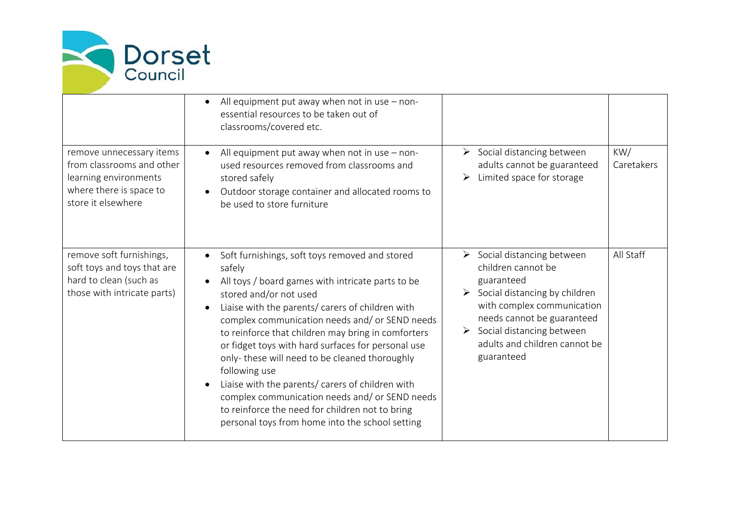

|                                                                                                                                 | All equipment put away when not in use - non-<br>essential resources to be taken out of<br>classrooms/covered etc.                                                                                                                                                                                                                                                                                                                                                                                                                                                                                                                      |                                                                                                                                                                                                                                                                                           |                   |
|---------------------------------------------------------------------------------------------------------------------------------|-----------------------------------------------------------------------------------------------------------------------------------------------------------------------------------------------------------------------------------------------------------------------------------------------------------------------------------------------------------------------------------------------------------------------------------------------------------------------------------------------------------------------------------------------------------------------------------------------------------------------------------------|-------------------------------------------------------------------------------------------------------------------------------------------------------------------------------------------------------------------------------------------------------------------------------------------|-------------------|
| remove unnecessary items<br>from classrooms and other<br>learning environments<br>where there is space to<br>store it elsewhere | All equipment put away when not in use - non-<br>used resources removed from classrooms and<br>stored safely<br>Outdoor storage container and allocated rooms to<br>be used to store furniture                                                                                                                                                                                                                                                                                                                                                                                                                                          | $\triangleright$ Social distancing between<br>adults cannot be guaranteed<br>Limited space for storage                                                                                                                                                                                    | KW/<br>Caretakers |
| remove soft furnishings,<br>soft toys and toys that are<br>hard to clean (such as<br>those with intricate parts)                | Soft furnishings, soft toys removed and stored<br>safely<br>All toys / board games with intricate parts to be<br>stored and/or not used<br>Liaise with the parents/ carers of children with<br>complex communication needs and/ or SEND needs<br>to reinforce that children may bring in comforters<br>or fidget toys with hard surfaces for personal use<br>only-these will need to be cleaned thoroughly<br>following use<br>Liaise with the parents/ carers of children with<br>complex communication needs and/ or SEND needs<br>to reinforce the need for children not to bring<br>personal toys from home into the school setting | $\triangleright$ Social distancing between<br>children cannot be<br>guaranteed<br>$\triangleright$ Social distancing by children<br>with complex communication<br>needs cannot be guaranteed<br>$\triangleright$ Social distancing between<br>adults and children cannot be<br>guaranteed | All Staff         |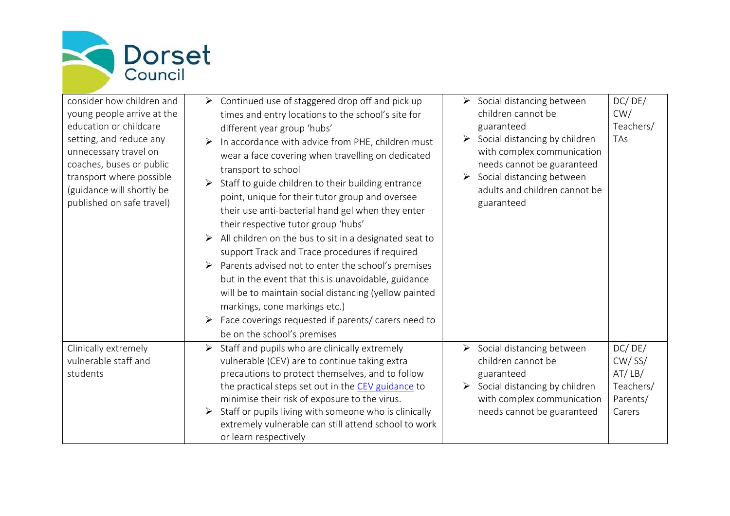

consider how children young people arrive at education or childcare setting, and reduce an unnecessary travel on coaches, buses or pub transport where possi (guidance will shortly published on safe travel)

| า and                 | $\triangleright$ Continued use of staggered drop off and pick up    | $\triangleright$ Social distancing between                                                                                                       |
|-----------------------|---------------------------------------------------------------------|--------------------------------------------------------------------------------------------------------------------------------------------------|
| t the                 | times and entry locations to the school's site for                  | children cannot be                                                                                                                               |
| $\mathbf{e}$          | different year group 'hubs'                                         | guaranteed                                                                                                                                       |
| ٦y                    | $\triangleright$ In accordance with advice from PHE, children must  | $\triangleright$ Social distancing by children                                                                                                   |
|                       | wear a face covering when travelling on dedicated                   | with complex communication                                                                                                                       |
| plic                  | transport to school                                                 | needs cannot be guaranteed                                                                                                                       |
| ible                  | $\triangleright$ Staff to guide children to their building entrance | $\triangleright$ Social distancing between                                                                                                       |
| be<br>$\overline{11}$ | point, unique for their tutor group and oversee                     | adults and children cannot be<br>the contract of the contract of the contract of the contract of the contract of the contract of the contract of |

| wear a race covering writer travelling on acalcatea                     |                                                                             |
|-------------------------------------------------------------------------|-----------------------------------------------------------------------------|
| transport to school                                                     | needs cannot be guaranteed                                                  |
| $\triangleright$ Staff to guide children to their building entrance     | $\triangleright$ Social distancing between<br>adults and children cannot be |
| point, unique for their tutor group and oversee                         | guaranteed                                                                  |
| their use anti-bacterial hand gel when they enter                       |                                                                             |
| their respective tutor group 'hubs'                                     |                                                                             |
| $\triangleright$ All children on the bus to sit in a designated seat to |                                                                             |
| cupport Irook and Iroop procedures if required                          |                                                                             |

DC/ DE/ CW/ Teachers/

TAs

| support Track and Trace procedures if required                      |  |
|---------------------------------------------------------------------|--|
| $\triangleright$ Parents advised not to enter the school's premises |  |
| but in the event that this is unavoidable, guidance                 |  |
| will be to maintain social distancing (yellow painted               |  |
| markings, cone markings etc.)                                       |  |
| $\triangleright$ Eace coverings requested if parents/carers need to |  |

or learn respectively

|                      | will be to maintain social distancing (yellow painted                  |                               |           |
|----------------------|------------------------------------------------------------------------|-------------------------------|-----------|
|                      | markings, cone markings etc.)                                          |                               |           |
|                      | Face coverings requested if parents/ carers need to<br>➤               |                               |           |
|                      | be on the school's premises                                            |                               |           |
| Clinically extremely | $\triangleright$ Staff and pupils who are clinically extremely         | Social distancing between     | DC/DE/    |
| vulnerable staff and | vulnerable (CEV) are to continue taking extra                          | children cannot be            | $CW/$ SS/ |
| students             | precautions to protect themselves, and to follow                       | guaranteed                    | AT/LB/    |
|                      | the practical steps set out in the CEV guidance to                     | Social distancing by children | Teachers/ |
|                      | minimise their risk of exposure to the virus.                          | with complex communication    | Parents/  |
|                      | $\triangleright$ Staff or pupils living with someone who is clinically | needs cannot be guaranteed    | Carers    |
|                      | extremely vulnerable can still attend school to work                   |                               |           |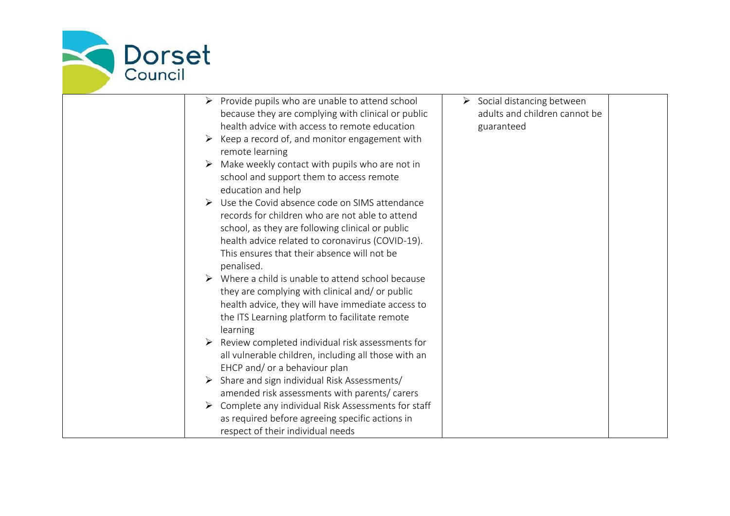

| $\triangleright$ Provide pupils who are unable to attend school     | $\triangleright$ Social distancing between |
|---------------------------------------------------------------------|--------------------------------------------|
| because they are complying with clinical or public                  | adults and children cannot be              |
| health advice with access to remote education                       | guaranteed                                 |
| $\triangleright$ Keep a record of, and monitor engagement with      |                                            |
| remote learning                                                     |                                            |
| Make weekly contact with pupils who are not in<br>➤                 |                                            |
| school and support them to access remote                            |                                            |
| education and help                                                  |                                            |
| Use the Covid absence code on SIMS attendance<br>$\triangleright$   |                                            |
| records for children who are not able to attend                     |                                            |
| school, as they are following clinical or public                    |                                            |
| health advice related to coronavirus (COVID-19).                    |                                            |
| This ensures that their absence will not be                         |                                            |
| penalised.                                                          |                                            |
| $\triangleright$ Where a child is unable to attend school because   |                                            |
| they are complying with clinical and/or public                      |                                            |
| health advice, they will have immediate access to                   |                                            |
| the ITS Learning platform to facilitate remote                      |                                            |
| learning                                                            |                                            |
| $\triangleright$ Review completed individual risk assessments for   |                                            |
| all vulnerable children, including all those with an                |                                            |
| EHCP and/ or a behaviour plan                                       |                                            |
| $\triangleright$ Share and sign individual Risk Assessments/        |                                            |
| amended risk assessments with parents/ carers                       |                                            |
| $\triangleright$ Complete any individual Risk Assessments for staff |                                            |
| as required before agreeing specific actions in                     |                                            |
| respect of their individual needs                                   |                                            |
|                                                                     |                                            |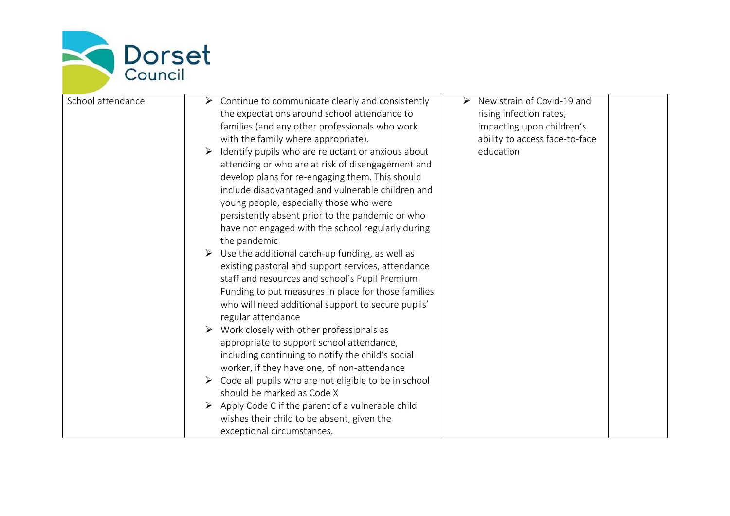

| School attendance<br>$\triangleright$ Continue to communicate clearly and consistently<br>the expectations around school attendance to<br>families (and any other professionals who work<br>with the family where appropriate).<br>$\triangleright$ Identify pupils who are reluctant or anxious about<br>attending or who are at risk of disengagement and<br>develop plans for re-engaging them. This should<br>include disadvantaged and vulnerable children and<br>young people, especially those who were<br>persistently absent prior to the pandemic or who<br>have not engaged with the school regularly during<br>the pandemic<br>$\triangleright$ Use the additional catch-up funding, as well as<br>existing pastoral and support services, attendance<br>staff and resources and school's Pupil Premium<br>Funding to put measures in place for those families<br>who will need additional support to secure pupils'<br>regular attendance<br>$\triangleright$ Work closely with other professionals as<br>appropriate to support school attendance,<br>including continuing to notify the child's social<br>worker, if they have one, of non-attendance<br>$\triangleright$ Code all pupils who are not eligible to be in school<br>should be marked as Code X<br>$\triangleright$ Apply Code C if the parent of a vulnerable child<br>wishes their child to be absent, given the<br>exceptional circumstances. | New strain of Covid-19 and<br>➤<br>rising infection rates,<br>impacting upon children's<br>ability to access face-to-face<br>education |
|------------------------------------------------------------------------------------------------------------------------------------------------------------------------------------------------------------------------------------------------------------------------------------------------------------------------------------------------------------------------------------------------------------------------------------------------------------------------------------------------------------------------------------------------------------------------------------------------------------------------------------------------------------------------------------------------------------------------------------------------------------------------------------------------------------------------------------------------------------------------------------------------------------------------------------------------------------------------------------------------------------------------------------------------------------------------------------------------------------------------------------------------------------------------------------------------------------------------------------------------------------------------------------------------------------------------------------------------------------------------------------------------------------------------------|----------------------------------------------------------------------------------------------------------------------------------------|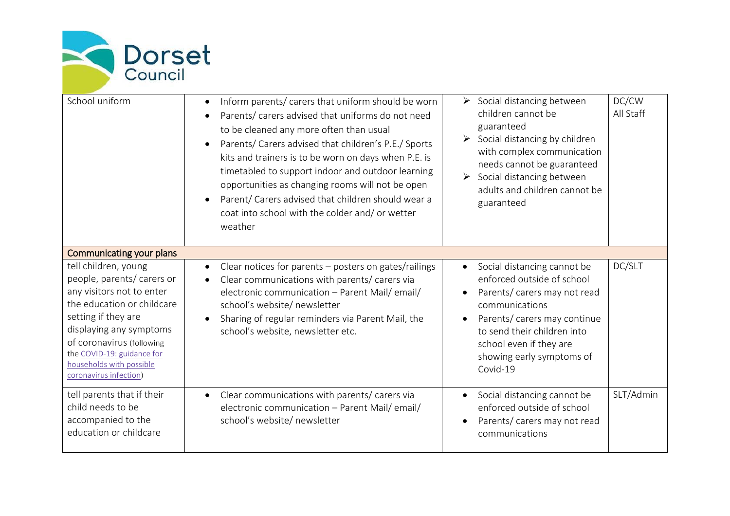

| School uniform                                                                                                                                                                                                                                                                                               | Inform parents/ carers that uniform should be worn<br>Parents/ carers advised that uniforms do not need<br>to be cleaned any more often than usual<br>Parents/ Carers advised that children's P.E./ Sports<br>kits and trainers is to be worn on days when P.E. is<br>timetabled to support indoor and outdoor learning<br>opportunities as changing rooms will not be open<br>Parent/ Carers advised that children should wear a<br>coat into school with the colder and/ or wetter<br>weather | DC/CW<br>$\triangleright$ Social distancing between<br>children cannot be<br>All Staff<br>guaranteed<br>$\triangleright$ Social distancing by children<br>with complex communication<br>needs cannot be guaranteed<br>Social distancing between<br>$\blacktriangleright$<br>adults and children cannot be<br>guaranteed |
|--------------------------------------------------------------------------------------------------------------------------------------------------------------------------------------------------------------------------------------------------------------------------------------------------------------|-------------------------------------------------------------------------------------------------------------------------------------------------------------------------------------------------------------------------------------------------------------------------------------------------------------------------------------------------------------------------------------------------------------------------------------------------------------------------------------------------|-------------------------------------------------------------------------------------------------------------------------------------------------------------------------------------------------------------------------------------------------------------------------------------------------------------------------|
| Communicating your plans<br>tell children, young<br>people, parents/ carers or<br>any visitors not to enter<br>the education or childcare<br>setting if they are<br>displaying any symptoms<br>of coronavirus (following<br>the COVID-19: guidance for<br>households with possible<br>coronavirus infection) | Clear notices for parents – posters on gates/railings<br>$\bullet$<br>Clear communications with parents/ carers via<br>electronic communication - Parent Mail/ email/<br>school's website/ newsletter<br>Sharing of regular reminders via Parent Mail, the<br>school's website, newsletter etc.                                                                                                                                                                                                 | DC/SLT<br>Social distancing cannot be<br>enforced outside of school<br>Parents/ carers may not read<br>$\bullet$<br>communications<br>Parents/ carers may continue<br>to send their children into<br>school even if they are<br>showing early symptoms of<br>Covid-19                                                   |
| tell parents that if their<br>child needs to be<br>accompanied to the<br>education or childcare                                                                                                                                                                                                              | Clear communications with parents/ carers via<br>$\bullet$<br>electronic communication - Parent Mail/ email/<br>school's website/ newsletter                                                                                                                                                                                                                                                                                                                                                    | SLT/Admin<br>Social distancing cannot be<br>enforced outside of school<br>Parents/ carers may not read<br>communications                                                                                                                                                                                                |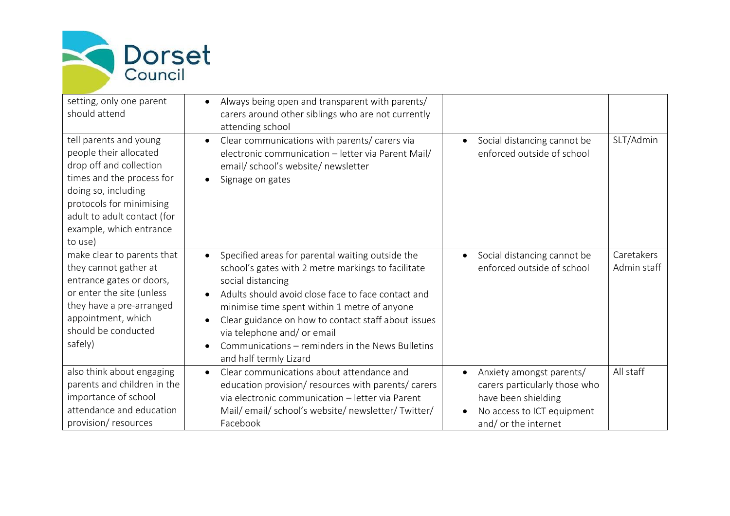

| setting, only one parent<br>should attend                                                                                                                                                                                        | Always being open and transparent with parents/<br>carers around other siblings who are not currently<br>attending school                                                                                                                                                                                                                                                                                          |                                                                                                                                                                  |                           |
|----------------------------------------------------------------------------------------------------------------------------------------------------------------------------------------------------------------------------------|--------------------------------------------------------------------------------------------------------------------------------------------------------------------------------------------------------------------------------------------------------------------------------------------------------------------------------------------------------------------------------------------------------------------|------------------------------------------------------------------------------------------------------------------------------------------------------------------|---------------------------|
| tell parents and young<br>people their allocated<br>drop off and collection<br>times and the process for<br>doing so, including<br>protocols for minimising<br>adult to adult contact (for<br>example, which entrance<br>to use) | Clear communications with parents/ carers via<br>$\bullet$<br>electronic communication - letter via Parent Mail/<br>email/ school's website/ newsletter<br>Signage on gates                                                                                                                                                                                                                                        | Social distancing cannot be<br>$\bullet$<br>enforced outside of school                                                                                           | SLT/Admin                 |
| make clear to parents that<br>they cannot gather at<br>entrance gates or doors,<br>or enter the site (unless<br>they have a pre-arranged<br>appointment, which<br>should be conducted<br>safely)                                 | Specified areas for parental waiting outside the<br>school's gates with 2 metre markings to facilitate<br>social distancing<br>Adults should avoid close face to face contact and<br>minimise time spent within 1 metre of anyone<br>Clear guidance on how to contact staff about issues<br>$\bullet$<br>via telephone and/ or email<br>Communications – reminders in the News Bulletins<br>and half termly Lizard | Social distancing cannot be<br>$\bullet$<br>enforced outside of school                                                                                           | Caretakers<br>Admin staff |
| also think about engaging<br>parents and children in the<br>importance of school<br>attendance and education<br>provision/resources                                                                                              | Clear communications about attendance and<br>$\bullet$<br>education provision/ resources with parents/ carers<br>via electronic communication - letter via Parent<br>Mail/email/school's website/newsletter/Twitter/<br>Facebook                                                                                                                                                                                   | Anxiety amongst parents/<br>$\bullet$<br>carers particularly those who<br>have been shielding<br>No access to ICT equipment<br>$\bullet$<br>and/ or the internet | All staff                 |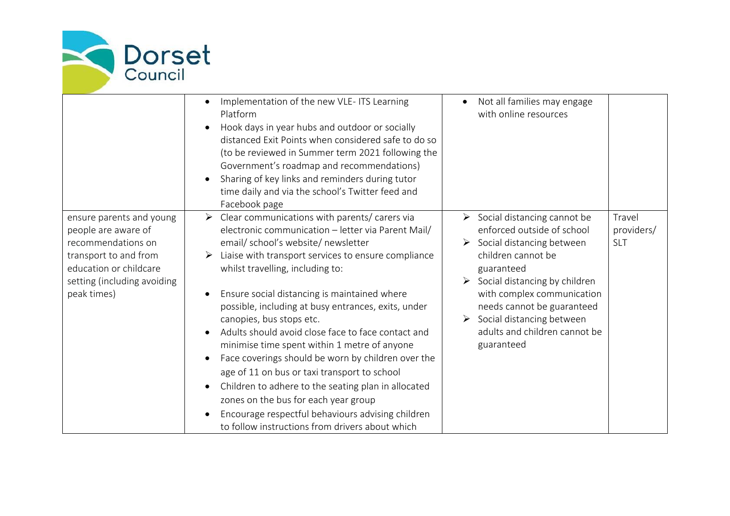

|                                                                                                                                                                        | Implementation of the new VLE- ITS Learning<br>Platform<br>Hook days in year hubs and outdoor or socially<br>distanced Exit Points when considered safe to do so<br>(to be reviewed in Summer term 2021 following the<br>Government's roadmap and recommendations)<br>Sharing of key links and reminders during tutor<br>time daily and via the school's Twitter feed and<br>Facebook page                                                                                                                                                                                                                                                                                                                                                                                                       | Not all families may engage<br>with online resources                                                                                                                                                                                                                                                                                                   |                                    |
|------------------------------------------------------------------------------------------------------------------------------------------------------------------------|--------------------------------------------------------------------------------------------------------------------------------------------------------------------------------------------------------------------------------------------------------------------------------------------------------------------------------------------------------------------------------------------------------------------------------------------------------------------------------------------------------------------------------------------------------------------------------------------------------------------------------------------------------------------------------------------------------------------------------------------------------------------------------------------------|--------------------------------------------------------------------------------------------------------------------------------------------------------------------------------------------------------------------------------------------------------------------------------------------------------------------------------------------------------|------------------------------------|
| ensure parents and young<br>people are aware of<br>recommendations on<br>transport to and from<br>education or childcare<br>setting (including avoiding<br>peak times) | Clear communications with parents/ carers via<br>➤<br>electronic communication - letter via Parent Mail/<br>email/ school's website/ newsletter<br>Liaise with transport services to ensure compliance<br>whilst travelling, including to:<br>Ensure social distancing is maintained where<br>possible, including at busy entrances, exits, under<br>canopies, bus stops etc.<br>Adults should avoid close face to face contact and<br>minimise time spent within 1 metre of anyone<br>Face coverings should be worn by children over the<br>age of 11 on bus or taxi transport to school<br>Children to adhere to the seating plan in allocated<br>zones on the bus for each year group<br>Encourage respectful behaviours advising children<br>to follow instructions from drivers about which | $\triangleright$ Social distancing cannot be<br>enforced outside of school<br>$\triangleright$ Social distancing between<br>children cannot be<br>guaranteed<br>$\triangleright$ Social distancing by children<br>with complex communication<br>needs cannot be guaranteed<br>Social distancing between<br>adults and children cannot be<br>guaranteed | Travel<br>providers/<br><b>SLT</b> |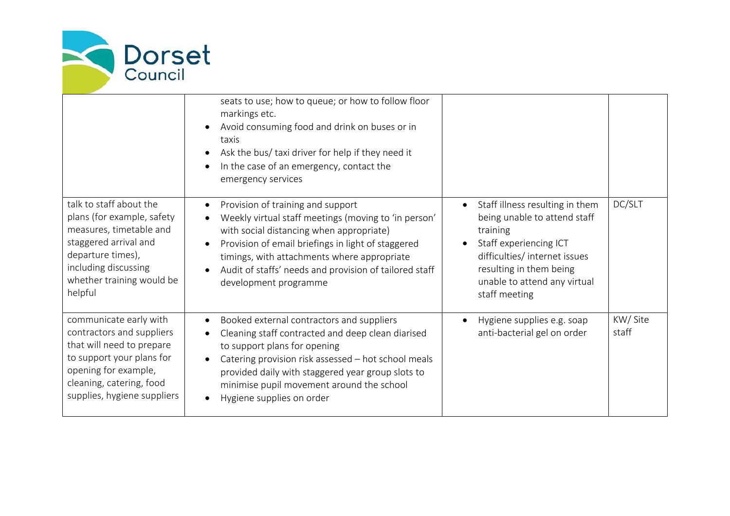

|                                                                                                                                                                                                  | seats to use; how to queue; or how to follow floor<br>markings etc.<br>Avoid consuming food and drink on buses or in<br>taxis<br>Ask the bus/ taxi driver for help if they need it<br>In the case of an emergency, contact the<br>emergency services                                                                          |                                                                                                                                                                                                                                 |                  |
|--------------------------------------------------------------------------------------------------------------------------------------------------------------------------------------------------|-------------------------------------------------------------------------------------------------------------------------------------------------------------------------------------------------------------------------------------------------------------------------------------------------------------------------------|---------------------------------------------------------------------------------------------------------------------------------------------------------------------------------------------------------------------------------|------------------|
| talk to staff about the<br>plans (for example, safety<br>measures, timetable and<br>staggered arrival and<br>departure times),<br>including discussing<br>whether training would be<br>helpful   | Provision of training and support<br>Weekly virtual staff meetings (moving to 'in person'<br>with social distancing when appropriate)<br>Provision of email briefings in light of staggered<br>timings, with attachments where appropriate<br>Audit of staffs' needs and provision of tailored staff<br>development programme | Staff illness resulting in them<br>$\bullet$<br>being unable to attend staff<br>training<br>Staff experiencing ICT<br>difficulties/ internet issues<br>resulting in them being<br>unable to attend any virtual<br>staff meeting | DC/SLT           |
| communicate early with<br>contractors and suppliers<br>that will need to prepare<br>to support your plans for<br>opening for example,<br>cleaning, catering, food<br>supplies, hygiene suppliers | Booked external contractors and suppliers<br>Cleaning staff contracted and deep clean diarised<br>to support plans for opening<br>Catering provision risk assessed - hot school meals<br>provided daily with staggered year group slots to<br>minimise pupil movement around the school<br>Hygiene supplies on order          | Hygiene supplies e.g. soap<br>anti-bacterial gel on order                                                                                                                                                                       | KW/Site<br>staff |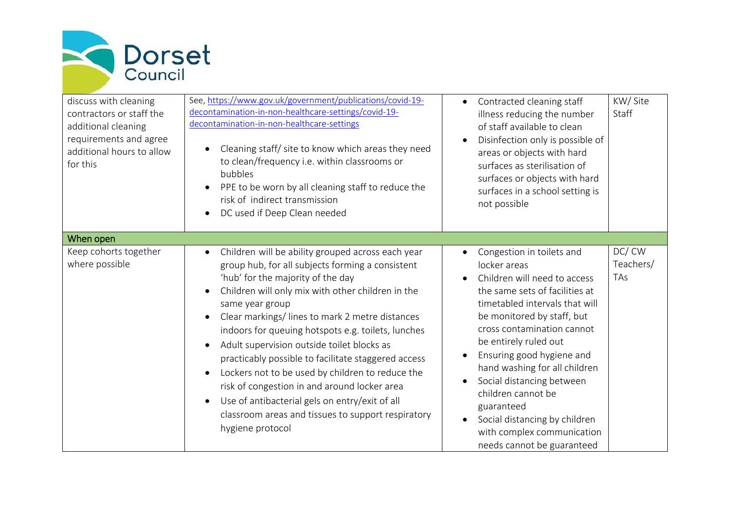

| discuss with cleaning<br>contractors or staff the<br>additional cleaning<br>requirements and agree<br>additional hours to allow<br>for this | See, https://www.gov.uk/government/publications/covid-19-<br>decontamination-in-non-healthcare-settings/covid-19-<br>decontamination-in-non-healthcare-settings<br>Cleaning staff/ site to know which areas they need<br>to clean/frequency i.e. within classrooms or<br>bubbles<br>PPE to be worn by all cleaning staff to reduce the<br>$\bullet$<br>risk of indirect transmission<br>DC used if Deep Clean needed                                                                                                                                                                                                                                                                      | Contracted cleaning staff<br>$\bullet$<br>illness reducing the number<br>of staff available to clean<br>Disinfection only is possible of<br>areas or objects with hard<br>surfaces as sterilisation of<br>surfaces or objects with hard<br>surfaces in a school setting is<br>not possible                                                                                                                                                                                                                                      | KW/Site<br>Staff          |
|---------------------------------------------------------------------------------------------------------------------------------------------|-------------------------------------------------------------------------------------------------------------------------------------------------------------------------------------------------------------------------------------------------------------------------------------------------------------------------------------------------------------------------------------------------------------------------------------------------------------------------------------------------------------------------------------------------------------------------------------------------------------------------------------------------------------------------------------------|---------------------------------------------------------------------------------------------------------------------------------------------------------------------------------------------------------------------------------------------------------------------------------------------------------------------------------------------------------------------------------------------------------------------------------------------------------------------------------------------------------------------------------|---------------------------|
| When open                                                                                                                                   |                                                                                                                                                                                                                                                                                                                                                                                                                                                                                                                                                                                                                                                                                           |                                                                                                                                                                                                                                                                                                                                                                                                                                                                                                                                 |                           |
| Keep cohorts together<br>where possible                                                                                                     | Children will be ability grouped across each year<br>group hub, for all subjects forming a consistent<br>'hub' for the majority of the day<br>Children will only mix with other children in the<br>same year group<br>Clear markings/lines to mark 2 metre distances<br>$\bullet$<br>indoors for queuing hotspots e.g. toilets, lunches<br>Adult supervision outside toilet blocks as<br>$\bullet$<br>practicably possible to facilitate staggered access<br>Lockers not to be used by children to reduce the<br>risk of congestion in and around locker area<br>Use of antibacterial gels on entry/exit of all<br>classroom areas and tissues to support respiratory<br>hygiene protocol | Congestion in toilets and<br>$\bullet$<br>locker areas<br>Children will need to access<br>$\bullet$<br>the same sets of facilities at<br>timetabled intervals that will<br>be monitored by staff, but<br>cross contamination cannot<br>be entirely ruled out<br>Ensuring good hygiene and<br>$\bullet$<br>hand washing for all children<br>Social distancing between<br>$\bullet$<br>children cannot be<br>guaranteed<br>Social distancing by children<br>$\bullet$<br>with complex communication<br>needs cannot be guaranteed | DC/CW<br>Teachers/<br>TAs |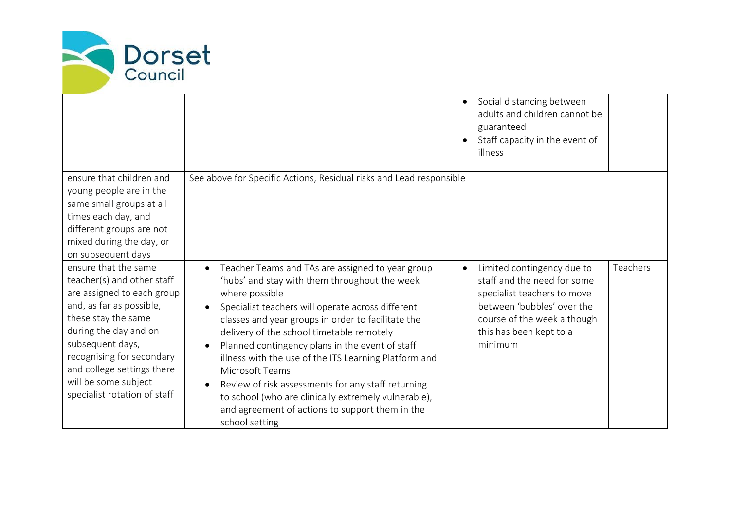

|                                                                                                                                                                                                                                                                                                     |                                                                                                                                                                                                                                                                                                                                                                                                                                                                                                                                                                                                | Social distancing between<br>$\bullet$<br>adults and children cannot be<br>guaranteed<br>Staff capacity in the event of<br>illness                                                                      |
|-----------------------------------------------------------------------------------------------------------------------------------------------------------------------------------------------------------------------------------------------------------------------------------------------------|------------------------------------------------------------------------------------------------------------------------------------------------------------------------------------------------------------------------------------------------------------------------------------------------------------------------------------------------------------------------------------------------------------------------------------------------------------------------------------------------------------------------------------------------------------------------------------------------|---------------------------------------------------------------------------------------------------------------------------------------------------------------------------------------------------------|
| ensure that children and<br>young people are in the<br>same small groups at all<br>times each day, and<br>different groups are not<br>mixed during the day, or<br>on subsequent days                                                                                                                | See above for Specific Actions, Residual risks and Lead responsible                                                                                                                                                                                                                                                                                                                                                                                                                                                                                                                            |                                                                                                                                                                                                         |
| ensure that the same<br>teacher(s) and other staff<br>are assigned to each group<br>and, as far as possible,<br>these stay the same<br>during the day and on<br>subsequent days,<br>recognising for secondary<br>and college settings there<br>will be some subject<br>specialist rotation of staff | Teacher Teams and TAs are assigned to year group<br>'hubs' and stay with them throughout the week<br>where possible<br>Specialist teachers will operate across different<br>classes and year groups in order to facilitate the<br>delivery of the school timetable remotely<br>Planned contingency plans in the event of staff<br>illness with the use of the ITS Learning Platform and<br>Microsoft Teams.<br>Review of risk assessments for any staff returning<br>to school (who are clinically extremely vulnerable),<br>and agreement of actions to support them in the<br>school setting | Teachers<br>Limited contingency due to<br>staff and the need for some<br>specialist teachers to move<br>between 'bubbles' over the<br>course of the week although<br>this has been kept to a<br>minimum |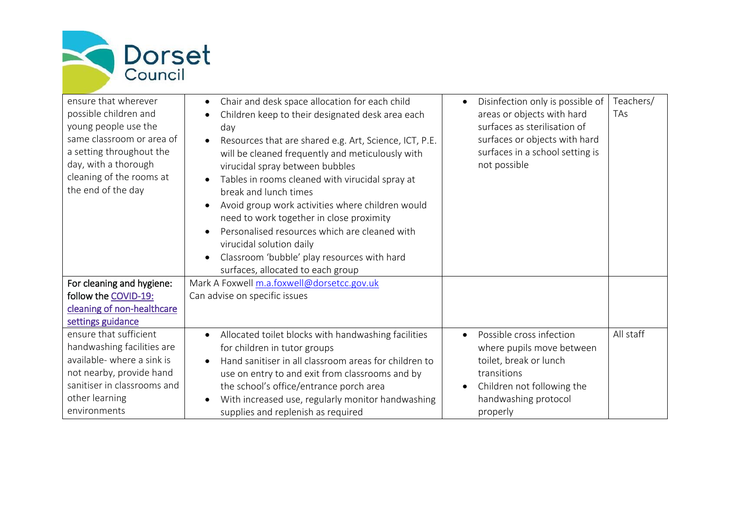

| ensure that wherever<br>possible children and<br>young people use the<br>same classroom or area of<br>a setting throughout the<br>day, with a thorough<br>cleaning of the rooms at<br>the end of the day | Chair and desk space allocation for each child<br>Children keep to their designated desk area each<br>day<br>Resources that are shared e.g. Art, Science, ICT, P.E.<br>will be cleaned frequently and meticulously with<br>virucidal spray between bubbles<br>Tables in rooms cleaned with virucidal spray at<br>break and lunch times<br>Avoid group work activities where children would<br>need to work together in close proximity | Disinfection only is possible of<br>areas or objects with hard<br>surfaces as sterilisation of<br>surfaces or objects with hard<br>surfaces in a school setting is<br>not possible | Teachers/<br>TAs |
|----------------------------------------------------------------------------------------------------------------------------------------------------------------------------------------------------------|----------------------------------------------------------------------------------------------------------------------------------------------------------------------------------------------------------------------------------------------------------------------------------------------------------------------------------------------------------------------------------------------------------------------------------------|------------------------------------------------------------------------------------------------------------------------------------------------------------------------------------|------------------|
|                                                                                                                                                                                                          | Personalised resources which are cleaned with                                                                                                                                                                                                                                                                                                                                                                                          |                                                                                                                                                                                    |                  |
|                                                                                                                                                                                                          | virucidal solution daily                                                                                                                                                                                                                                                                                                                                                                                                               |                                                                                                                                                                                    |                  |
|                                                                                                                                                                                                          | Classroom 'bubble' play resources with hard                                                                                                                                                                                                                                                                                                                                                                                            |                                                                                                                                                                                    |                  |
|                                                                                                                                                                                                          | surfaces, allocated to each group                                                                                                                                                                                                                                                                                                                                                                                                      |                                                                                                                                                                                    |                  |
| For cleaning and hygiene:                                                                                                                                                                                | Mark A Foxwell m.a.foxwell@dorsetcc.gov.uk                                                                                                                                                                                                                                                                                                                                                                                             |                                                                                                                                                                                    |                  |
| follow the COVID-19:                                                                                                                                                                                     | Can advise on specific issues                                                                                                                                                                                                                                                                                                                                                                                                          |                                                                                                                                                                                    |                  |
| cleaning of non-healthcare                                                                                                                                                                               |                                                                                                                                                                                                                                                                                                                                                                                                                                        |                                                                                                                                                                                    |                  |
| settings guidance                                                                                                                                                                                        |                                                                                                                                                                                                                                                                                                                                                                                                                                        |                                                                                                                                                                                    |                  |
| ensure that sufficient                                                                                                                                                                                   | Allocated toilet blocks with handwashing facilities<br>$\bullet$                                                                                                                                                                                                                                                                                                                                                                       | Possible cross infection<br>$\bullet$                                                                                                                                              | All staff        |
| handwashing facilities are                                                                                                                                                                               | for children in tutor groups                                                                                                                                                                                                                                                                                                                                                                                                           | where pupils move between                                                                                                                                                          |                  |
| available- where a sink is                                                                                                                                                                               | Hand sanitiser in all classroom areas for children to                                                                                                                                                                                                                                                                                                                                                                                  | toilet, break or lunch                                                                                                                                                             |                  |
| not nearby, provide hand                                                                                                                                                                                 | use on entry to and exit from classrooms and by                                                                                                                                                                                                                                                                                                                                                                                        | transitions                                                                                                                                                                        |                  |
| sanitiser in classrooms and                                                                                                                                                                              | the school's office/entrance porch area                                                                                                                                                                                                                                                                                                                                                                                                | Children not following the                                                                                                                                                         |                  |
| other learning                                                                                                                                                                                           | With increased use, regularly monitor handwashing                                                                                                                                                                                                                                                                                                                                                                                      | handwashing protocol                                                                                                                                                               |                  |
| environments                                                                                                                                                                                             | supplies and replenish as required                                                                                                                                                                                                                                                                                                                                                                                                     | properly                                                                                                                                                                           |                  |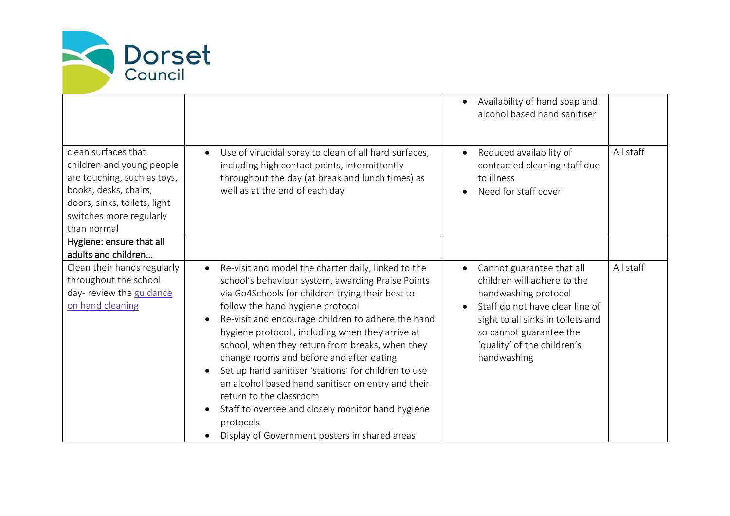

|                                                                                                                                                                                    |                                                                                                                                                                                                                                                                                                                                                                                                                                                                                                                                                                                                                                                                                   | Availability of hand soap and<br>$\bullet$<br>alcohol based hand sanitiser                                                                                                                                                        |           |
|------------------------------------------------------------------------------------------------------------------------------------------------------------------------------------|-----------------------------------------------------------------------------------------------------------------------------------------------------------------------------------------------------------------------------------------------------------------------------------------------------------------------------------------------------------------------------------------------------------------------------------------------------------------------------------------------------------------------------------------------------------------------------------------------------------------------------------------------------------------------------------|-----------------------------------------------------------------------------------------------------------------------------------------------------------------------------------------------------------------------------------|-----------|
| clean surfaces that<br>children and young people<br>are touching, such as toys,<br>books, desks, chairs,<br>doors, sinks, toilets, light<br>switches more regularly<br>than normal | Use of virucidal spray to clean of all hard surfaces,<br>including high contact points, intermittently<br>throughout the day (at break and lunch times) as<br>well as at the end of each day                                                                                                                                                                                                                                                                                                                                                                                                                                                                                      | Reduced availability of<br>$\bullet$<br>contracted cleaning staff due<br>to illness<br>Need for staff cover                                                                                                                       | All staff |
| Hygiene: ensure that all<br>adults and children                                                                                                                                    |                                                                                                                                                                                                                                                                                                                                                                                                                                                                                                                                                                                                                                                                                   |                                                                                                                                                                                                                                   |           |
| Clean their hands regularly<br>throughout the school<br>day- review the guidance<br>on hand cleaning                                                                               | Re-visit and model the charter daily, linked to the<br>$\bullet$<br>school's behaviour system, awarding Praise Points<br>via Go4Schools for children trying their best to<br>follow the hand hygiene protocol<br>Re-visit and encourage children to adhere the hand<br>hygiene protocol, including when they arrive at<br>school, when they return from breaks, when they<br>change rooms and before and after eating<br>Set up hand sanitiser 'stations' for children to use<br>an alcohol based hand sanitiser on entry and their<br>return to the classroom<br>Staff to oversee and closely monitor hand hygiene<br>protocols<br>Display of Government posters in shared areas | Cannot guarantee that all<br>children will adhere to the<br>handwashing protocol<br>Staff do not have clear line of<br>sight to all sinks in toilets and<br>so cannot guarantee the<br>'quality' of the children's<br>handwashing | All staff |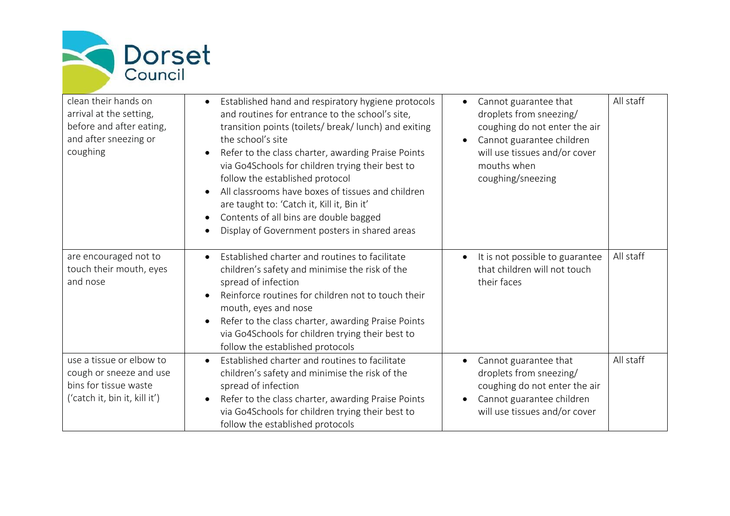

| clean their hands on<br>arrival at the setting,<br>before and after eating,<br>and after sneezing or<br>coughing | Established hand and respiratory hygiene protocols<br>and routines for entrance to the school's site,<br>transition points (toilets/ break/ lunch) and exiting<br>the school's site<br>Refer to the class charter, awarding Praise Points<br>$\bullet$<br>via Go4Schools for children trying their best to<br>follow the established protocol<br>All classrooms have boxes of tissues and children<br>$\bullet$<br>are taught to: 'Catch it, Kill it, Bin it'<br>Contents of all bins are double bagged<br>$\bullet$<br>Display of Government posters in shared areas<br>$\bullet$ | Cannot guarantee that<br>droplets from sneezing/<br>coughing do not enter the air<br>Cannot guarantee children<br>will use tissues and/or cover<br>mouths when<br>coughing/sneezing | All staff |
|------------------------------------------------------------------------------------------------------------------|------------------------------------------------------------------------------------------------------------------------------------------------------------------------------------------------------------------------------------------------------------------------------------------------------------------------------------------------------------------------------------------------------------------------------------------------------------------------------------------------------------------------------------------------------------------------------------|-------------------------------------------------------------------------------------------------------------------------------------------------------------------------------------|-----------|
| are encouraged not to<br>touch their mouth, eyes<br>and nose                                                     | Established charter and routines to facilitate<br>children's safety and minimise the risk of the<br>spread of infection<br>Reinforce routines for children not to touch their<br>mouth, eyes and nose<br>Refer to the class charter, awarding Praise Points<br>$\bullet$<br>via Go4Schools for children trying their best to<br>follow the established protocols                                                                                                                                                                                                                   | It is not possible to guarantee<br>that children will not touch<br>their faces                                                                                                      | All staff |
| use a tissue or elbow to<br>cough or sneeze and use<br>bins for tissue waste<br>('catch it, bin it, kill it')    | Established charter and routines to facilitate<br>children's safety and minimise the risk of the<br>spread of infection<br>Refer to the class charter, awarding Praise Points<br>$\bullet$<br>via Go4Schools for children trying their best to<br>follow the established protocols                                                                                                                                                                                                                                                                                                 | Cannot guarantee that<br>droplets from sneezing/<br>coughing do not enter the air<br>Cannot guarantee children<br>will use tissues and/or cover                                     | All staff |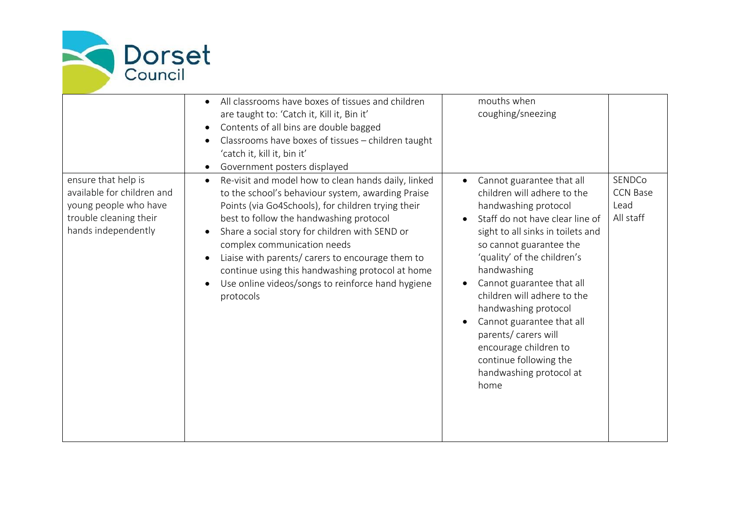

|                                                                                                                             | All classrooms have boxes of tissues and children<br>$\bullet$<br>are taught to: 'Catch it, Kill it, Bin it'<br>Contents of all bins are double bagged<br>Classrooms have boxes of tissues - children taught<br>'catch it, kill it, bin it'<br>Government posters displayed                                                                                                                                                                                                       | mouths when<br>coughing/sneezing                                                                                                                                                                                                                                                                                                                                                                                                                                              |                                                |
|-----------------------------------------------------------------------------------------------------------------------------|-----------------------------------------------------------------------------------------------------------------------------------------------------------------------------------------------------------------------------------------------------------------------------------------------------------------------------------------------------------------------------------------------------------------------------------------------------------------------------------|-------------------------------------------------------------------------------------------------------------------------------------------------------------------------------------------------------------------------------------------------------------------------------------------------------------------------------------------------------------------------------------------------------------------------------------------------------------------------------|------------------------------------------------|
| ensure that help is<br>available for children and<br>young people who have<br>trouble cleaning their<br>hands independently | Re-visit and model how to clean hands daily, linked<br>$\bullet$<br>to the school's behaviour system, awarding Praise<br>Points (via Go4Schools), for children trying their<br>best to follow the handwashing protocol<br>Share a social story for children with SEND or<br>complex communication needs<br>Liaise with parents/ carers to encourage them to<br>continue using this handwashing protocol at home<br>Use online videos/songs to reinforce hand hygiene<br>protocols | Cannot guarantee that all<br>$\bullet$<br>children will adhere to the<br>handwashing protocol<br>Staff do not have clear line of<br>sight to all sinks in toilets and<br>so cannot guarantee the<br>'quality' of the children's<br>handwashing<br>Cannot guarantee that all<br>children will adhere to the<br>handwashing protocol<br>Cannot guarantee that all<br>parents/ carers will<br>encourage children to<br>continue following the<br>handwashing protocol at<br>home | SENDCo<br><b>CCN Base</b><br>Lead<br>All staff |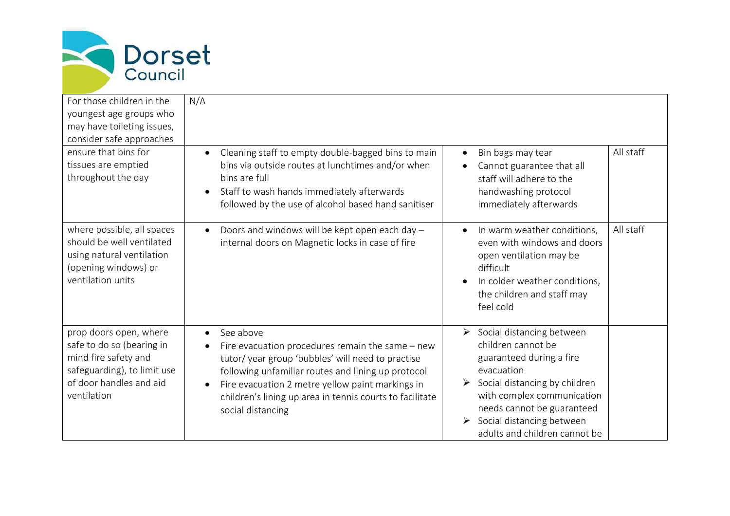

| For those children in the<br>youngest age groups who<br>may have toileting issues,<br>consider safe approaches<br>ensure that bins for<br>tissues are emptied<br>throughout the day | N/A<br>Cleaning staff to empty double-bagged bins to main<br>bins via outside routes at lunchtimes and/or when<br>bins are full<br>Staff to wash hands immediately afterwards<br>followed by the use of alcohol based hand sanitiser                                                                                        | All staff<br>Bin bags may tear<br>Cannot guarantee that all<br>staff will adhere to the<br>handwashing protocol<br>immediately afterwards                                                                                                                                                 |
|-------------------------------------------------------------------------------------------------------------------------------------------------------------------------------------|-----------------------------------------------------------------------------------------------------------------------------------------------------------------------------------------------------------------------------------------------------------------------------------------------------------------------------|-------------------------------------------------------------------------------------------------------------------------------------------------------------------------------------------------------------------------------------------------------------------------------------------|
| where possible, all spaces<br>should be well ventilated<br>using natural ventilation<br>(opening windows) or<br>ventilation units                                                   | Doors and windows will be kept open each day -<br>internal doors on Magnetic locks in case of fire                                                                                                                                                                                                                          | All staff<br>In warm weather conditions,<br>even with windows and doors<br>open ventilation may be<br>difficult<br>In colder weather conditions,<br>the children and staff may<br>feel cold                                                                                               |
| prop doors open, where<br>safe to do so (bearing in<br>mind fire safety and<br>safeguarding), to limit use<br>of door handles and aid<br>ventilation                                | See above<br>$\bullet$<br>Fire evacuation procedures remain the same $-$ new<br>tutor/year group 'bubbles' will need to practise<br>following unfamiliar routes and lining up protocol<br>Fire evacuation 2 metre yellow paint markings in<br>children's lining up area in tennis courts to facilitate<br>social distancing | $\triangleright$ Social distancing between<br>children cannot be<br>guaranteed during a fire<br>evacuation<br>Social distancing by children<br>with complex communication<br>needs cannot be guaranteed<br>Social distancing between<br>$\triangleright$<br>adults and children cannot be |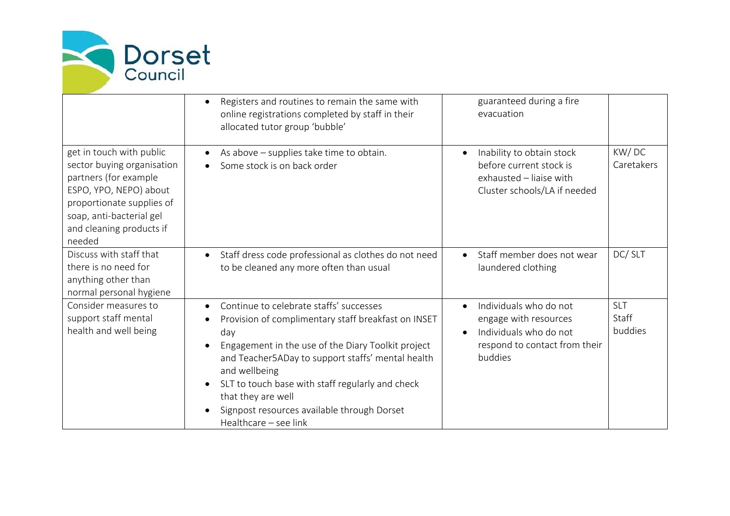

|                                                                                                                                                                                                          | Registers and routines to remain the same with<br>online registrations completed by staff in their<br>allocated tutor group 'bubble'                                                                                                                                                                                                                                                | guaranteed during a fire<br>evacuation                                                                                                          |                                |
|----------------------------------------------------------------------------------------------------------------------------------------------------------------------------------------------------------|-------------------------------------------------------------------------------------------------------------------------------------------------------------------------------------------------------------------------------------------------------------------------------------------------------------------------------------------------------------------------------------|-------------------------------------------------------------------------------------------------------------------------------------------------|--------------------------------|
| get in touch with public<br>sector buying organisation<br>partners (for example<br>ESPO, YPO, NEPO) about<br>proportionate supplies of<br>soap, anti-bacterial gel<br>and cleaning products if<br>needed | As above - supplies take time to obtain.<br>Some stock is on back order                                                                                                                                                                                                                                                                                                             | Inability to obtain stock<br>$\bullet$<br>before current stock is<br>exhausted - liaise with<br>Cluster schools/LA if needed                    | KW/DC<br>Caretakers            |
| Discuss with staff that<br>there is no need for<br>anything other than<br>normal personal hygiene                                                                                                        | Staff dress code professional as clothes do not need<br>to be cleaned any more often than usual                                                                                                                                                                                                                                                                                     | Staff member does not wear<br>$\bullet$<br>laundered clothing                                                                                   | DC/SLT                         |
| Consider measures to<br>support staff mental<br>health and well being                                                                                                                                    | Continue to celebrate staffs' successes<br>Provision of complimentary staff breakfast on INSET<br>day<br>Engagement in the use of the Diary Toolkit project<br>and Teacher5ADay to support staffs' mental health<br>and wellbeing<br>SLT to touch base with staff regularly and check<br>that they are well<br>Signpost resources available through Dorset<br>Healthcare - see link | Individuals who do not<br>$\bullet$<br>engage with resources<br>Individuals who do not<br>$\bullet$<br>respond to contact from their<br>buddies | <b>SLT</b><br>Staff<br>buddies |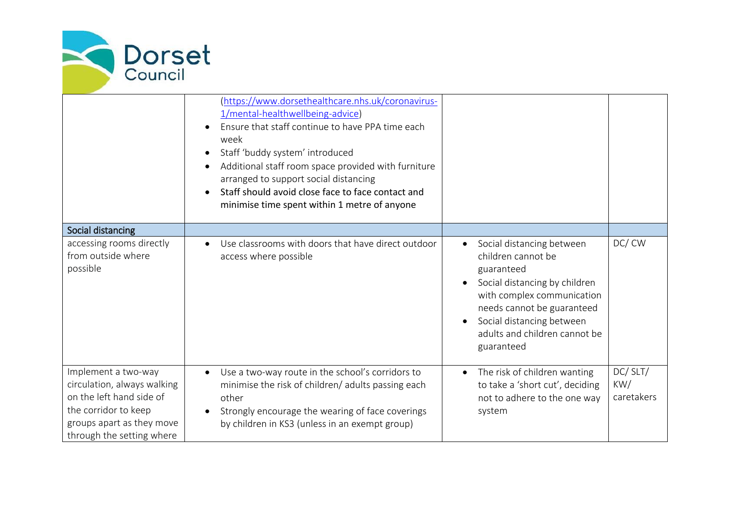

|                                                                                                                                                                  | (https://www.dorsethealthcare.nhs.uk/coronavirus-<br>1/mental-healthwellbeing-advice)<br>Ensure that staff continue to have PPA time each<br>week<br>Staff 'buddy system' introduced<br>Additional staff room space provided with furniture<br>arranged to support social distancing<br>Staff should avoid close face to face contact and<br>minimise time spent within 1 metre of anyone |                                                                                                                                                                                                                                        |                              |
|------------------------------------------------------------------------------------------------------------------------------------------------------------------|-------------------------------------------------------------------------------------------------------------------------------------------------------------------------------------------------------------------------------------------------------------------------------------------------------------------------------------------------------------------------------------------|----------------------------------------------------------------------------------------------------------------------------------------------------------------------------------------------------------------------------------------|------------------------------|
| Social distancing                                                                                                                                                |                                                                                                                                                                                                                                                                                                                                                                                           |                                                                                                                                                                                                                                        |                              |
| accessing rooms directly<br>from outside where<br>possible                                                                                                       | Use classrooms with doors that have direct outdoor<br>access where possible                                                                                                                                                                                                                                                                                                               | Social distancing between<br>children cannot be<br>guaranteed<br>Social distancing by children<br>with complex communication<br>needs cannot be guaranteed<br>Social distancing between<br>adults and children cannot be<br>guaranteed | DC/CW                        |
| Implement a two-way<br>circulation, always walking<br>on the left hand side of<br>the corridor to keep<br>groups apart as they move<br>through the setting where | Use a two-way route in the school's corridors to<br>minimise the risk of children/ adults passing each<br>other<br>Strongly encourage the wearing of face coverings<br>by children in KS3 (unless in an exempt group)                                                                                                                                                                     | The risk of children wanting<br>to take a 'short cut', deciding<br>not to adhere to the one way<br>system                                                                                                                              | DC/SLT/<br>KW/<br>caretakers |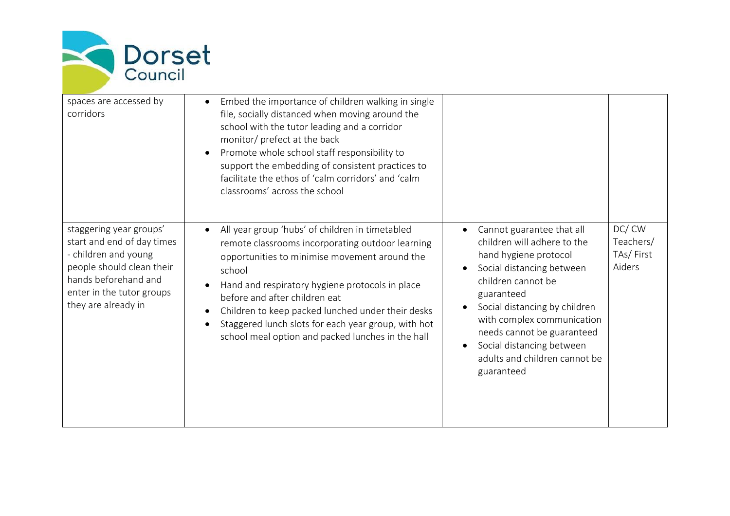

| spaces are accessed by<br>corridors                                                                                                                                                    | Embed the importance of children walking in single<br>file, socially distanced when moving around the<br>school with the tutor leading and a corridor<br>monitor/ prefect at the back<br>Promote whole school staff responsibility to<br>support the embedding of consistent practices to<br>facilitate the ethos of 'calm corridors' and 'calm<br>classrooms' across the school                                    |                                                                                                                                                                                                                                                                                                                                                       |                                           |
|----------------------------------------------------------------------------------------------------------------------------------------------------------------------------------------|---------------------------------------------------------------------------------------------------------------------------------------------------------------------------------------------------------------------------------------------------------------------------------------------------------------------------------------------------------------------------------------------------------------------|-------------------------------------------------------------------------------------------------------------------------------------------------------------------------------------------------------------------------------------------------------------------------------------------------------------------------------------------------------|-------------------------------------------|
| staggering year groups'<br>start and end of day times<br>- children and young<br>people should clean their<br>hands beforehand and<br>enter in the tutor groups<br>they are already in | All year group 'hubs' of children in timetabled<br>remote classrooms incorporating outdoor learning<br>opportunities to minimise movement around the<br>school<br>Hand and respiratory hygiene protocols in place<br>before and after children eat<br>Children to keep packed lunched under their desks<br>Staggered lunch slots for each year group, with hot<br>school meal option and packed lunches in the hall | Cannot guarantee that all<br>$\bullet$<br>children will adhere to the<br>hand hygiene protocol<br>Social distancing between<br>children cannot be<br>guaranteed<br>Social distancing by children<br>with complex communication<br>needs cannot be guaranteed<br>Social distancing between<br>$\bullet$<br>adults and children cannot be<br>guaranteed | DC/CW<br>Teachers/<br>TAs/First<br>Aiders |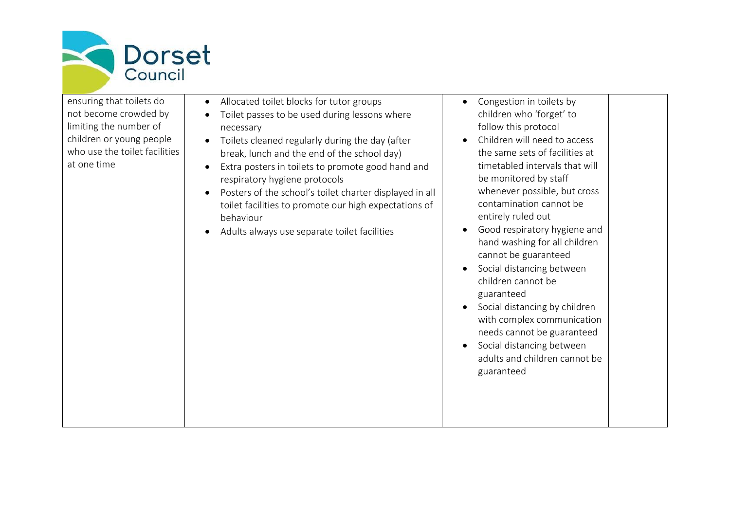

| ensuring that toilets do<br>not become crowded by<br>limiting the number of<br>children or young people<br>who use the toilet facilities<br>at one time | Allocated toilet blocks for tutor groups<br>Toilet passes to be used during lessons where<br>necessary<br>Toilets cleaned regularly during the day (after<br>break, lunch and the end of the school day)<br>Extra posters in toilets to promote good hand and<br>respiratory hygiene protocols<br>Posters of the school's toilet charter displayed in all<br>$\bullet$<br>toilet facilities to promote our high expectations of<br>behaviour<br>Adults always use separate toilet facilities | Congestion in toilets by<br>children who 'forget' to<br>follow this protocol<br>Children will need to access<br>$\bullet$<br>the same sets of facilities at<br>timetabled intervals that will<br>be monitored by staff<br>whenever possible, but cross<br>contamination cannot be<br>entirely ruled out<br>Good respiratory hygiene and<br>hand washing for all children<br>cannot be guaranteed<br>Social distancing between<br>children cannot be<br>guaranteed<br>Social distancing by children<br>with complex communication<br>needs cannot be guaranteed<br>Social distancing between<br>adults and children cannot be<br>guaranteed |
|---------------------------------------------------------------------------------------------------------------------------------------------------------|----------------------------------------------------------------------------------------------------------------------------------------------------------------------------------------------------------------------------------------------------------------------------------------------------------------------------------------------------------------------------------------------------------------------------------------------------------------------------------------------|--------------------------------------------------------------------------------------------------------------------------------------------------------------------------------------------------------------------------------------------------------------------------------------------------------------------------------------------------------------------------------------------------------------------------------------------------------------------------------------------------------------------------------------------------------------------------------------------------------------------------------------------|
|---------------------------------------------------------------------------------------------------------------------------------------------------------|----------------------------------------------------------------------------------------------------------------------------------------------------------------------------------------------------------------------------------------------------------------------------------------------------------------------------------------------------------------------------------------------------------------------------------------------------------------------------------------------|--------------------------------------------------------------------------------------------------------------------------------------------------------------------------------------------------------------------------------------------------------------------------------------------------------------------------------------------------------------------------------------------------------------------------------------------------------------------------------------------------------------------------------------------------------------------------------------------------------------------------------------------|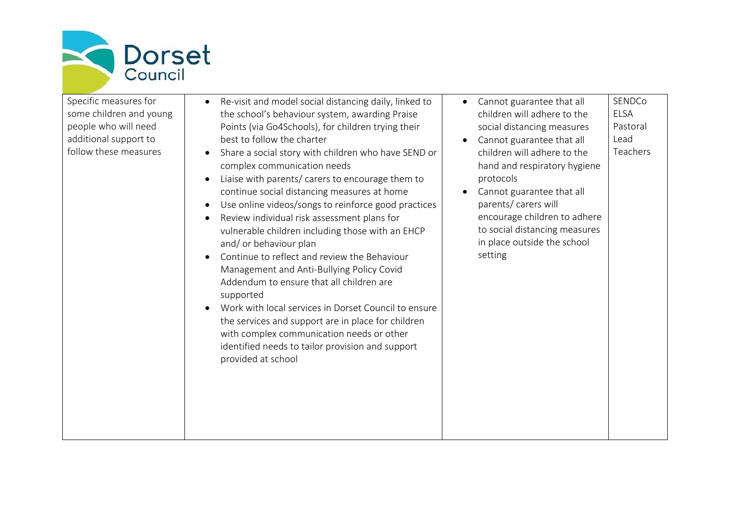

Specific measures for some children and young people who will need additional support to follow these measures

- Re-visit and model social distancing daily, linked to the school's behaviour system, awarding Praise Points (via Go4Schools), for children trying their best to follow the charter
- Share a social story with children who have SEND or complex communication needs
- Liaise with parents/ carers to encourage them to continue social distancing measures at home
- Use online videos/songs to reinforce good practices
- Review individual risk assessment plans for vulnerable children including those with an EHCP and/ or behaviour plan
- Continue to reflect and review the Behaviour Management and Anti-Bullying Policy Covid Addendum to ensure that all children are supported
- Work with local services in Dorset Council to ensure the services and support are in place for children with complex communication needs or other identified needs to tailor provision and support provided at school

| $\bullet$ | Cannot guarantee that all   | SENDCo       |
|-----------|-----------------------------|--------------|
|           | children will adhere to the | <b>LELSA</b> |
|           | social distancing measures  | Pastoral     |

- Cannot guarantee that all children will adhere to the hand and respiratory hygiene protocols Lead Teachers
- Cannot guarantee that all parents/ carers will encourage children to adhere to social distancing measures in place outside the school setting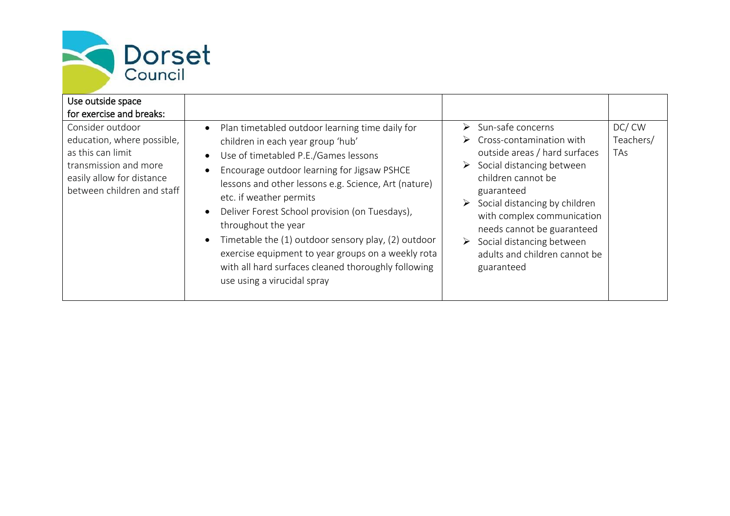

| Use outside space<br>for exercise and breaks:<br>Consider outdoor<br>education, where possible,<br>as this can limit<br>transmission and more<br>easily allow for distance<br>between children and staff | Plan timetabled outdoor learning time daily for<br>$\bullet$<br>children in each year group 'hub'<br>Use of timetabled P.E./Games lessons<br>Encourage outdoor learning for Jigsaw PSHCE<br>lessons and other lessons e.g. Science, Art (nature)<br>etc. if weather permits<br>Deliver Forest School provision (on Tuesdays), | $\triangleright$ Sun-safe concerns<br>$\triangleright$ Cross-contamination with<br>outside areas / hard surfaces<br>$\triangleright$ Social distancing between<br>children cannot be<br>guaranteed<br>Social distancing by children<br>➤<br>with complex communication | DC/CW<br>Teachers/<br><b>TAs</b> |
|----------------------------------------------------------------------------------------------------------------------------------------------------------------------------------------------------------|-------------------------------------------------------------------------------------------------------------------------------------------------------------------------------------------------------------------------------------------------------------------------------------------------------------------------------|------------------------------------------------------------------------------------------------------------------------------------------------------------------------------------------------------------------------------------------------------------------------|----------------------------------|
|                                                                                                                                                                                                          | throughout the year<br>Timetable the (1) outdoor sensory play, (2) outdoor<br>exercise equipment to year groups on a weekly rota<br>with all hard surfaces cleaned thoroughly following<br>use using a virucidal spray                                                                                                        | needs cannot be guaranteed<br>$\triangleright$ Social distancing between<br>adults and children cannot be<br>guaranteed                                                                                                                                                |                                  |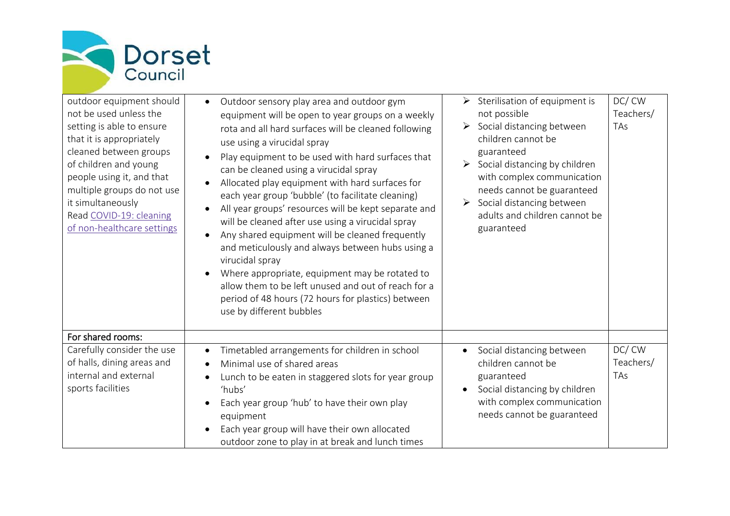

| outdoor equipment should<br>not be used unless the<br>setting is able to ensure<br>that it is appropriately<br>cleaned between groups<br>of children and young<br>people using it, and that<br>multiple groups do not use<br>it simultaneously<br>Read COVID-19: cleaning<br>of non-healthcare settings | Outdoor sensory play area and outdoor gym<br>$\bullet$<br>equipment will be open to year groups on a weekly<br>rota and all hard surfaces will be cleaned following<br>use using a virucidal spray<br>Play equipment to be used with hard surfaces that<br>can be cleaned using a virucidal spray<br>Allocated play equipment with hard surfaces for<br>each year group 'bubble' (to facilitate cleaning)<br>All year groups' resources will be kept separate and<br>will be cleaned after use using a virucidal spray<br>Any shared equipment will be cleaned frequently<br>and meticulously and always between hubs using a<br>virucidal spray<br>Where appropriate, equipment may be rotated to<br>allow them to be left unused and out of reach for a<br>period of 48 hours (72 hours for plastics) between<br>use by different bubbles | $\triangleright$ Sterilisation of equipment is<br>not possible<br>$\triangleright$ Social distancing between<br>children cannot be<br>guaranteed<br>$\triangleright$ Social distancing by children<br>with complex communication<br>needs cannot be guaranteed<br>Social distancing between<br>adults and children cannot be<br>guaranteed | DC/CW<br>Teachers/<br><b>TAs</b> |
|---------------------------------------------------------------------------------------------------------------------------------------------------------------------------------------------------------------------------------------------------------------------------------------------------------|---------------------------------------------------------------------------------------------------------------------------------------------------------------------------------------------------------------------------------------------------------------------------------------------------------------------------------------------------------------------------------------------------------------------------------------------------------------------------------------------------------------------------------------------------------------------------------------------------------------------------------------------------------------------------------------------------------------------------------------------------------------------------------------------------------------------------------------------|--------------------------------------------------------------------------------------------------------------------------------------------------------------------------------------------------------------------------------------------------------------------------------------------------------------------------------------------|----------------------------------|
| For shared rooms:                                                                                                                                                                                                                                                                                       |                                                                                                                                                                                                                                                                                                                                                                                                                                                                                                                                                                                                                                                                                                                                                                                                                                             |                                                                                                                                                                                                                                                                                                                                            |                                  |
| Carefully consider the use<br>of halls, dining areas and<br>internal and external<br>sports facilities                                                                                                                                                                                                  | Timetabled arrangements for children in school<br>Minimal use of shared areas<br>Lunch to be eaten in staggered slots for year group<br>'hubs'<br>Each year group 'hub' to have their own play<br>equipment<br>Each year group will have their own allocated<br>outdoor zone to play in at break and lunch times                                                                                                                                                                                                                                                                                                                                                                                                                                                                                                                            | Social distancing between<br>$\bullet$<br>children cannot be<br>guaranteed<br>Social distancing by children<br>with complex communication<br>needs cannot be guaranteed                                                                                                                                                                    | DC/CW<br>Teachers/<br>TAs        |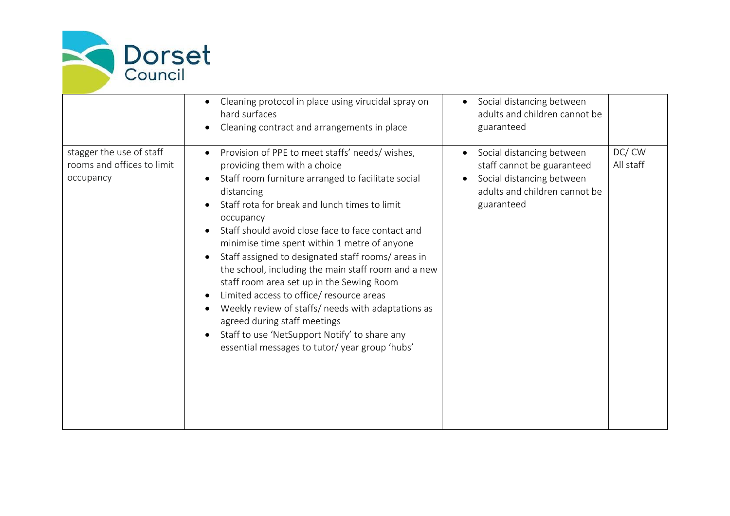

|                                                                     | Cleaning protocol in place using virucidal spray on<br>hard surfaces<br>Cleaning contract and arrangements in place                                                                                                                                                                                                                                                                                                                                                                                                                                                                                                                                                                                                 | Social distancing between<br>$\bullet$<br>adults and children cannot be<br>guaranteed                                               |                    |
|---------------------------------------------------------------------|---------------------------------------------------------------------------------------------------------------------------------------------------------------------------------------------------------------------------------------------------------------------------------------------------------------------------------------------------------------------------------------------------------------------------------------------------------------------------------------------------------------------------------------------------------------------------------------------------------------------------------------------------------------------------------------------------------------------|-------------------------------------------------------------------------------------------------------------------------------------|--------------------|
| stagger the use of staff<br>rooms and offices to limit<br>occupancy | Provision of PPE to meet staffs' needs/ wishes,<br>providing them with a choice<br>Staff room furniture arranged to facilitate social<br>distancing<br>Staff rota for break and lunch times to limit<br>occupancy<br>Staff should avoid close face to face contact and<br>minimise time spent within 1 metre of anyone<br>Staff assigned to designated staff rooms/areas in<br>the school, including the main staff room and a new<br>staff room area set up in the Sewing Room<br>Limited access to office/ resource areas<br>Weekly review of staffs/ needs with adaptations as<br>agreed during staff meetings<br>Staff to use 'NetSupport Notify' to share any<br>essential messages to tutor/year group 'hubs' | Social distancing between<br>staff cannot be guaranteed<br>Social distancing between<br>adults and children cannot be<br>guaranteed | DC/CW<br>All staff |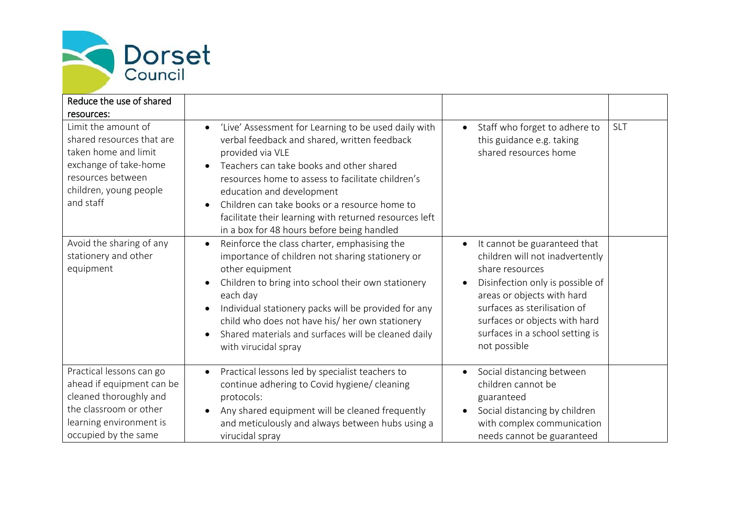

| Reduce the use of shared                                                                                                                                      |                                                                                                                                                                                                                                                                                                                                                                                                                              |                                                                                                                                                                                                                                                                                       |            |
|---------------------------------------------------------------------------------------------------------------------------------------------------------------|------------------------------------------------------------------------------------------------------------------------------------------------------------------------------------------------------------------------------------------------------------------------------------------------------------------------------------------------------------------------------------------------------------------------------|---------------------------------------------------------------------------------------------------------------------------------------------------------------------------------------------------------------------------------------------------------------------------------------|------------|
| resources:                                                                                                                                                    |                                                                                                                                                                                                                                                                                                                                                                                                                              |                                                                                                                                                                                                                                                                                       |            |
| Limit the amount of<br>shared resources that are<br>taken home and limit<br>exchange of take-home<br>resources between<br>children, young people<br>and staff | 'Live' Assessment for Learning to be used daily with<br>$\bullet$<br>verbal feedback and shared, written feedback<br>provided via VLE<br>Teachers can take books and other shared<br>resources home to assess to facilitate children's<br>education and development<br>Children can take books or a resource home to<br>facilitate their learning with returned resources left<br>in a box for 48 hours before being handled | Staff who forget to adhere to<br>$\bullet$<br>this guidance e.g. taking<br>shared resources home                                                                                                                                                                                      | <b>SLT</b> |
| Avoid the sharing of any<br>stationery and other<br>equipment                                                                                                 | Reinforce the class charter, emphasising the<br>$\bullet$<br>importance of children not sharing stationery or<br>other equipment<br>Children to bring into school their own stationery<br>each day<br>Individual stationery packs will be provided for any<br>child who does not have his/ her own stationery<br>Shared materials and surfaces will be cleaned daily<br>with virucidal spray                                 | It cannot be guaranteed that<br>$\bullet$<br>children will not inadvertently<br>share resources<br>Disinfection only is possible of<br>areas or objects with hard<br>surfaces as sterilisation of<br>surfaces or objects with hard<br>surfaces in a school setting is<br>not possible |            |
| Practical lessons can go<br>ahead if equipment can be<br>cleaned thoroughly and<br>the classroom or other<br>learning environment is<br>occupied by the same  | Practical lessons led by specialist teachers to<br>$\bullet$<br>continue adhering to Covid hygiene/ cleaning<br>protocols:<br>Any shared equipment will be cleaned frequently<br>and meticulously and always between hubs using a<br>virucidal spray                                                                                                                                                                         | Social distancing between<br>$\bullet$<br>children cannot be<br>guaranteed<br>Social distancing by children<br>with complex communication<br>needs cannot be guaranteed                                                                                                               |            |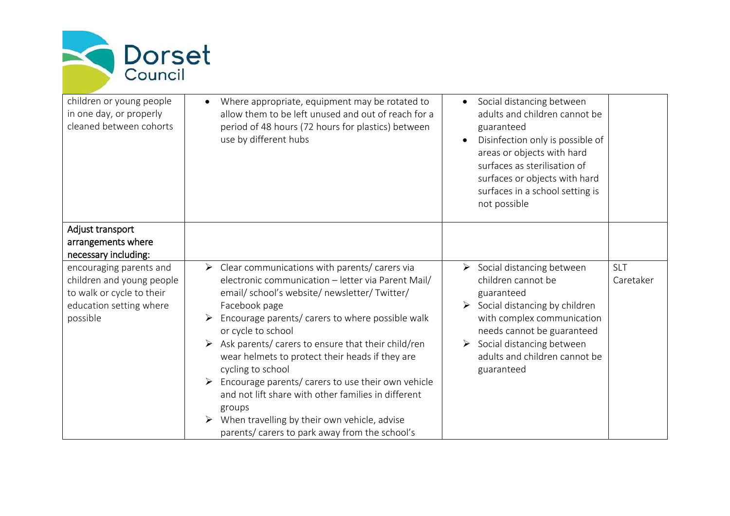

| children or young people<br>in one day, or properly<br>cleaned between cohorts                                           | Where appropriate, equipment may be rotated to<br>allow them to be left unused and out of reach for a<br>period of 48 hours (72 hours for plastics) between<br>use by different hubs                                                                                                                                                                                                                                                                                                                                                                                                                                           | Social distancing between<br>adults and children cannot be<br>guaranteed<br>Disinfection only is possible of<br>areas or objects with hard<br>surfaces as sterilisation of<br>surfaces or objects with hard<br>surfaces in a school setting is<br>not possible                |                         |
|--------------------------------------------------------------------------------------------------------------------------|--------------------------------------------------------------------------------------------------------------------------------------------------------------------------------------------------------------------------------------------------------------------------------------------------------------------------------------------------------------------------------------------------------------------------------------------------------------------------------------------------------------------------------------------------------------------------------------------------------------------------------|-------------------------------------------------------------------------------------------------------------------------------------------------------------------------------------------------------------------------------------------------------------------------------|-------------------------|
| Adjust transport<br>arrangements where<br>necessary including:                                                           |                                                                                                                                                                                                                                                                                                                                                                                                                                                                                                                                                                                                                                |                                                                                                                                                                                                                                                                               |                         |
| encouraging parents and<br>children and young people<br>to walk or cycle to their<br>education setting where<br>possible | $\triangleright$ Clear communications with parents/ carers via<br>electronic communication - letter via Parent Mail/<br>email/school's website/newsletter/Twitter/<br>Facebook page<br>Encourage parents/ carers to where possible walk<br>or cycle to school<br>Ask parents/ carers to ensure that their child/ren<br>wear helmets to protect their heads if they are<br>cycling to school<br>Encourage parents/ carers to use their own vehicle<br>➤<br>and not lift share with other families in different<br>groups<br>When travelling by their own vehicle, advise<br>➤<br>parents/ carers to park away from the school's | $\triangleright$ Social distancing between<br>children cannot be<br>guaranteed<br>$\triangleright$ Social distancing by children<br>with complex communication<br>needs cannot be guaranteed<br>Social distancing between<br>➤<br>adults and children cannot be<br>guaranteed | <b>SLT</b><br>Caretaker |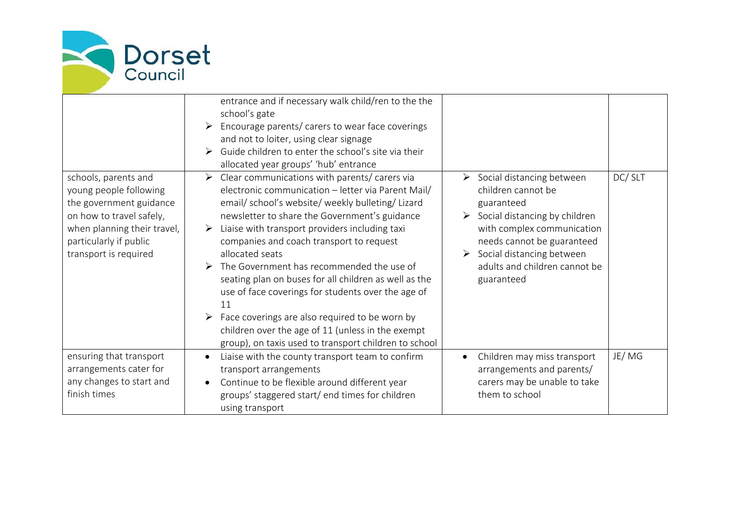

|                                                                                                                                                                                         | entrance and if necessary walk child/ren to the the<br>school's gate<br>Encourage parents/ carers to wear face coverings<br>➤<br>and not to loiter, using clear signage<br>Guide children to enter the school's site via their<br>allocated year groups' 'hub' entrance                                                                                                                                                                                                                                                                                                                                                                                                         |                                                                                                                                                                                                                                                                                           |        |
|-----------------------------------------------------------------------------------------------------------------------------------------------------------------------------------------|---------------------------------------------------------------------------------------------------------------------------------------------------------------------------------------------------------------------------------------------------------------------------------------------------------------------------------------------------------------------------------------------------------------------------------------------------------------------------------------------------------------------------------------------------------------------------------------------------------------------------------------------------------------------------------|-------------------------------------------------------------------------------------------------------------------------------------------------------------------------------------------------------------------------------------------------------------------------------------------|--------|
| schools, parents and<br>young people following<br>the government guidance<br>on how to travel safely,<br>when planning their travel,<br>particularly if public<br>transport is required | $\triangleright$ Clear communications with parents/ carers via<br>electronic communication - letter via Parent Mail/<br>email/school's website/weekly bulleting/Lizard<br>newsletter to share the Government's guidance<br>Liaise with transport providers including taxi<br>➤<br>companies and coach transport to request<br>allocated seats<br>The Government has recommended the use of<br>seating plan on buses for all children as well as the<br>use of face coverings for students over the age of<br>11<br>Face coverings are also required to be worn by<br>children over the age of 11 (unless in the exempt<br>group), on taxis used to transport children to school | $\triangleright$ Social distancing between<br>children cannot be<br>guaranteed<br>$\triangleright$ Social distancing by children<br>with complex communication<br>needs cannot be guaranteed<br>$\triangleright$ Social distancing between<br>adults and children cannot be<br>guaranteed | DC/SLT |
| ensuring that transport<br>arrangements cater for<br>any changes to start and<br>finish times                                                                                           | Liaise with the county transport team to confirm<br>transport arrangements<br>Continue to be flexible around different year<br>groups' staggered start/ end times for children<br>using transport                                                                                                                                                                                                                                                                                                                                                                                                                                                                               | Children may miss transport<br>arrangements and parents/<br>carers may be unable to take<br>them to school                                                                                                                                                                                | JE/MG  |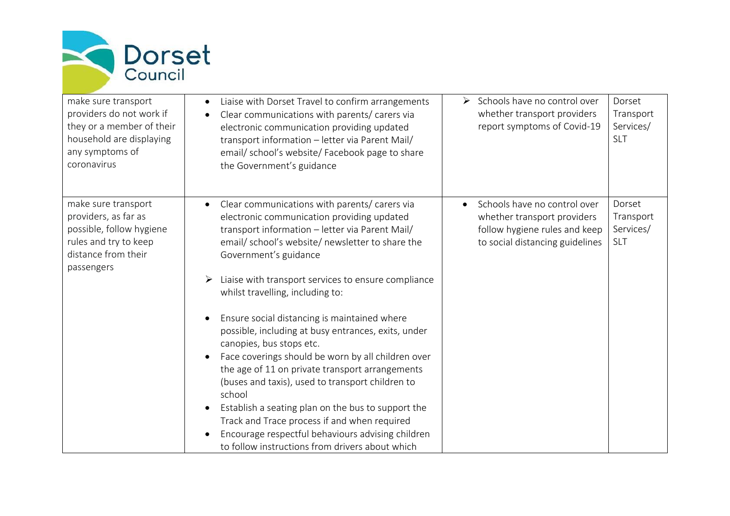

| make sure transport<br>providers do not work if<br>they or a member of their<br>household are displaying<br>any symptoms of<br>coronavirus | Liaise with Dorset Travel to confirm arrangements<br>Clear communications with parents/ carers via<br>electronic communication providing updated<br>transport information - letter via Parent Mail/<br>email/school's website/Facebook page to share<br>the Government's guidance                                                                                                                                                                                                                                                                                                                                                                                                                                                                                                                                                                                     | > Schools have no control over<br>whether transport providers<br>report symptoms of Covid-19                                    | Dorset<br>Transport<br>Services/<br><b>SLT</b> |
|--------------------------------------------------------------------------------------------------------------------------------------------|-----------------------------------------------------------------------------------------------------------------------------------------------------------------------------------------------------------------------------------------------------------------------------------------------------------------------------------------------------------------------------------------------------------------------------------------------------------------------------------------------------------------------------------------------------------------------------------------------------------------------------------------------------------------------------------------------------------------------------------------------------------------------------------------------------------------------------------------------------------------------|---------------------------------------------------------------------------------------------------------------------------------|------------------------------------------------|
| make sure transport<br>providers, as far as<br>possible, follow hygiene<br>rules and try to keep<br>distance from their<br>passengers      | Clear communications with parents/ carers via<br>electronic communication providing updated<br>transport information - letter via Parent Mail/<br>email/school's website/newsletter to share the<br>Government's guidance<br>Liaise with transport services to ensure compliance<br>$\blacktriangleright$<br>whilst travelling, including to:<br>Ensure social distancing is maintained where<br>possible, including at busy entrances, exits, under<br>canopies, bus stops etc.<br>Face coverings should be worn by all children over<br>the age of 11 on private transport arrangements<br>(buses and taxis), used to transport children to<br>school<br>Establish a seating plan on the bus to support the<br>Track and Trace process if and when required<br>Encourage respectful behaviours advising children<br>to follow instructions from drivers about which | Schools have no control over<br>whether transport providers<br>follow hygiene rules and keep<br>to social distancing guidelines | Dorset<br>Transport<br>Services/<br>SLT        |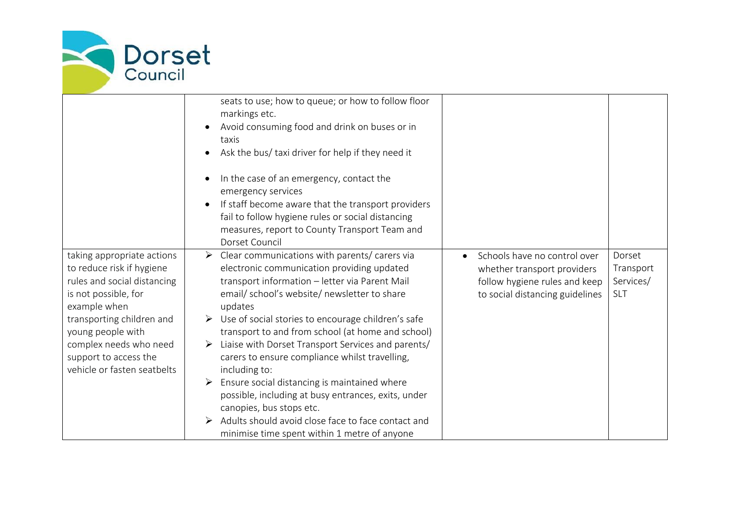

|                                                                                                                                                                                                                                                                    | seats to use; how to queue; or how to follow floor<br>markings etc.<br>Avoid consuming food and drink on buses or in<br>taxis<br>Ask the bus/ taxi driver for help if they need it<br>In the case of an emergency, contact the<br>emergency services<br>If staff become aware that the transport providers<br>fail to follow hygiene rules or social distancing<br>measures, report to County Transport Team and<br>Dorset Council                                                                                                                                                                                                                                                                                            |                                                                                                                                 |                                                |
|--------------------------------------------------------------------------------------------------------------------------------------------------------------------------------------------------------------------------------------------------------------------|-------------------------------------------------------------------------------------------------------------------------------------------------------------------------------------------------------------------------------------------------------------------------------------------------------------------------------------------------------------------------------------------------------------------------------------------------------------------------------------------------------------------------------------------------------------------------------------------------------------------------------------------------------------------------------------------------------------------------------|---------------------------------------------------------------------------------------------------------------------------------|------------------------------------------------|
| taking appropriate actions<br>to reduce risk if hygiene<br>rules and social distancing<br>is not possible, for<br>example when<br>transporting children and<br>young people with<br>complex needs who need<br>support to access the<br>vehicle or fasten seatbelts | Clear communications with parents/ carers via<br>$\blacktriangleright$<br>electronic communication providing updated<br>transport information - letter via Parent Mail<br>email/school's website/newsletter to share<br>updates<br>$\triangleright$ Use of social stories to encourage children's safe<br>transport to and from school (at home and school)<br>Liaise with Dorset Transport Services and parents/<br>carers to ensure compliance whilst travelling,<br>including to:<br>Ensure social distancing is maintained where<br>possible, including at busy entrances, exits, under<br>canopies, bus stops etc.<br>Adults should avoid close face to face contact and<br>minimise time spent within 1 metre of anyone | Schools have no control over<br>whether transport providers<br>follow hygiene rules and keep<br>to social distancing guidelines | Dorset<br>Transport<br>Services/<br><b>SLT</b> |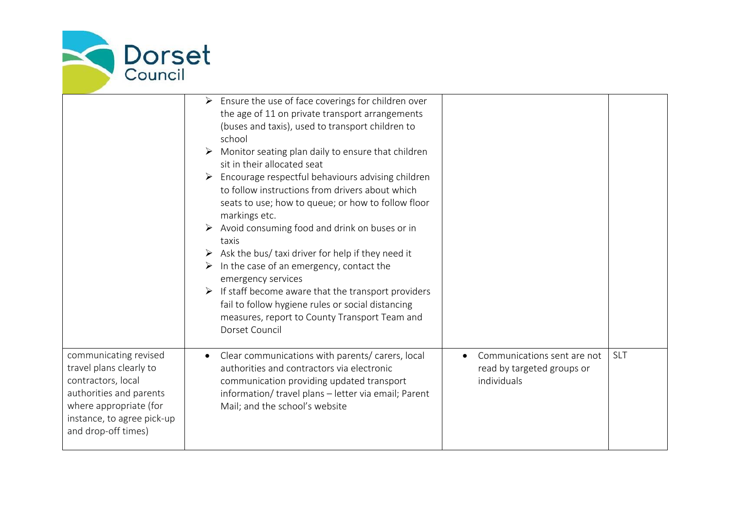

|                                                                                                                                                                                  | $\triangleright$ Ensure the use of face coverings for children over<br>the age of 11 on private transport arrangements<br>(buses and taxis), used to transport children to<br>school<br>$\triangleright$ Monitor seating plan daily to ensure that children<br>sit in their allocated seat<br>$\triangleright$ Encourage respectful behaviours advising children<br>to follow instructions from drivers about which<br>seats to use; how to queue; or how to follow floor<br>markings etc.<br>Avoid consuming food and drink on buses or in<br>taxis<br>Ask the bus/ taxi driver for help if they need it<br>In the case of an emergency, contact the<br>➤<br>emergency services<br>$\triangleright$ If staff become aware that the transport providers<br>fail to follow hygiene rules or social distancing<br>measures, report to County Transport Team and<br>Dorset Council |                                                                          |            |
|----------------------------------------------------------------------------------------------------------------------------------------------------------------------------------|---------------------------------------------------------------------------------------------------------------------------------------------------------------------------------------------------------------------------------------------------------------------------------------------------------------------------------------------------------------------------------------------------------------------------------------------------------------------------------------------------------------------------------------------------------------------------------------------------------------------------------------------------------------------------------------------------------------------------------------------------------------------------------------------------------------------------------------------------------------------------------|--------------------------------------------------------------------------|------------|
| communicating revised<br>travel plans clearly to<br>contractors, local<br>authorities and parents<br>where appropriate (for<br>instance, to agree pick-up<br>and drop-off times) | Clear communications with parents/ carers, local<br>authorities and contractors via electronic<br>communication providing updated transport<br>information/ travel plans - letter via email; Parent<br>Mail; and the school's website                                                                                                                                                                                                                                                                                                                                                                                                                                                                                                                                                                                                                                           | Communications sent are not<br>read by targeted groups or<br>individuals | <b>SLT</b> |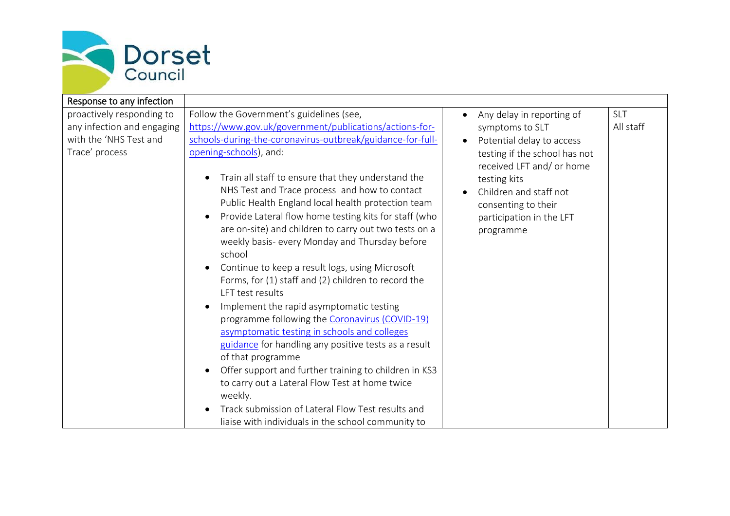

| Response to any infection                                                                           |                                                                                                                                                                                                                                                                                                                                                                                                                                                                                                                                                                                                                                                                                                                                                                                                                                                                                                                                                                                                                                                                                                                                  |                                                                                                                                                                                                                                                                             |                         |
|-----------------------------------------------------------------------------------------------------|----------------------------------------------------------------------------------------------------------------------------------------------------------------------------------------------------------------------------------------------------------------------------------------------------------------------------------------------------------------------------------------------------------------------------------------------------------------------------------------------------------------------------------------------------------------------------------------------------------------------------------------------------------------------------------------------------------------------------------------------------------------------------------------------------------------------------------------------------------------------------------------------------------------------------------------------------------------------------------------------------------------------------------------------------------------------------------------------------------------------------------|-----------------------------------------------------------------------------------------------------------------------------------------------------------------------------------------------------------------------------------------------------------------------------|-------------------------|
| proactively responding to<br>any infection and engaging<br>with the 'NHS Test and<br>Trace' process | Follow the Government's guidelines (see,<br>https://www.gov.uk/government/publications/actions-for-<br>schools-during-the-coronavirus-outbreak/guidance-for-full-<br>opening-schools), and:<br>Train all staff to ensure that they understand the<br>NHS Test and Trace process and how to contact<br>Public Health England local health protection team<br>Provide Lateral flow home testing kits for staff (who<br>are on-site) and children to carry out two tests on a<br>weekly basis- every Monday and Thursday before<br>school<br>Continue to keep a result logs, using Microsoft<br>Forms, for (1) staff and (2) children to record the<br>LFT test results<br>Implement the rapid asymptomatic testing<br>programme following the Coronavirus (COVID-19)<br>asymptomatic testing in schools and colleges<br>guidance for handling any positive tests as a result<br>of that programme<br>Offer support and further training to children in KS3<br>to carry out a Lateral Flow Test at home twice<br>weekly.<br>Track submission of Lateral Flow Test results and<br>liaise with individuals in the school community to | Any delay in reporting of<br>$\bullet$<br>symptoms to SLT<br>Potential delay to access<br>$\bullet$<br>testing if the school has not<br>received LFT and/ or home<br>testing kits<br>Children and staff not<br>consenting to their<br>participation in the LFT<br>programme | <b>SLT</b><br>All staff |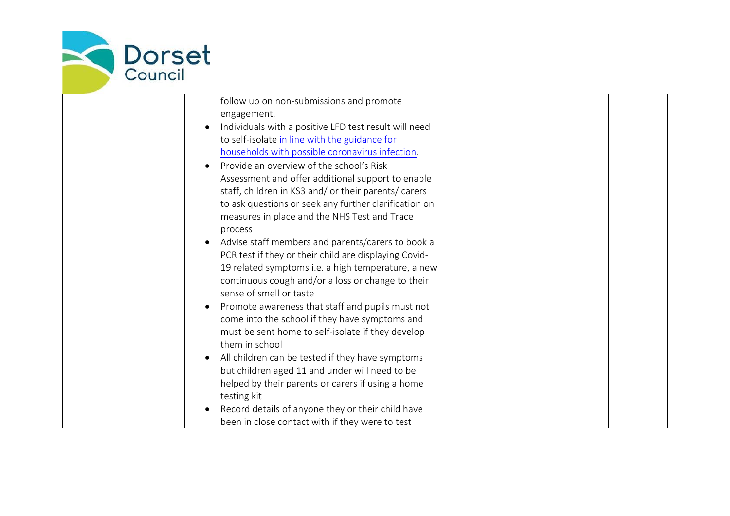

| follow up on non-submissions and promote                           |                                                                                                                                                                                                                                                                                                                                                                                                                                                                                                                                                                                                                                                                                                                                                                             |  |
|--------------------------------------------------------------------|-----------------------------------------------------------------------------------------------------------------------------------------------------------------------------------------------------------------------------------------------------------------------------------------------------------------------------------------------------------------------------------------------------------------------------------------------------------------------------------------------------------------------------------------------------------------------------------------------------------------------------------------------------------------------------------------------------------------------------------------------------------------------------|--|
| engagement.                                                        |                                                                                                                                                                                                                                                                                                                                                                                                                                                                                                                                                                                                                                                                                                                                                                             |  |
| Individuals with a positive LFD test result will need<br>$\bullet$ |                                                                                                                                                                                                                                                                                                                                                                                                                                                                                                                                                                                                                                                                                                                                                                             |  |
| to self-isolate in line with the guidance for                      |                                                                                                                                                                                                                                                                                                                                                                                                                                                                                                                                                                                                                                                                                                                                                                             |  |
| households with possible coronavirus infection.                    |                                                                                                                                                                                                                                                                                                                                                                                                                                                                                                                                                                                                                                                                                                                                                                             |  |
| Provide an overview of the school's Risk<br>$\bullet$              |                                                                                                                                                                                                                                                                                                                                                                                                                                                                                                                                                                                                                                                                                                                                                                             |  |
| Assessment and offer additional support to enable                  |                                                                                                                                                                                                                                                                                                                                                                                                                                                                                                                                                                                                                                                                                                                                                                             |  |
| staff, children in KS3 and/ or their parents/ carers               |                                                                                                                                                                                                                                                                                                                                                                                                                                                                                                                                                                                                                                                                                                                                                                             |  |
|                                                                    |                                                                                                                                                                                                                                                                                                                                                                                                                                                                                                                                                                                                                                                                                                                                                                             |  |
|                                                                    |                                                                                                                                                                                                                                                                                                                                                                                                                                                                                                                                                                                                                                                                                                                                                                             |  |
| process                                                            |                                                                                                                                                                                                                                                                                                                                                                                                                                                                                                                                                                                                                                                                                                                                                                             |  |
| $\bullet$                                                          |                                                                                                                                                                                                                                                                                                                                                                                                                                                                                                                                                                                                                                                                                                                                                                             |  |
|                                                                    |                                                                                                                                                                                                                                                                                                                                                                                                                                                                                                                                                                                                                                                                                                                                                                             |  |
|                                                                    |                                                                                                                                                                                                                                                                                                                                                                                                                                                                                                                                                                                                                                                                                                                                                                             |  |
|                                                                    |                                                                                                                                                                                                                                                                                                                                                                                                                                                                                                                                                                                                                                                                                                                                                                             |  |
| sense of smell or taste                                            |                                                                                                                                                                                                                                                                                                                                                                                                                                                                                                                                                                                                                                                                                                                                                                             |  |
|                                                                    |                                                                                                                                                                                                                                                                                                                                                                                                                                                                                                                                                                                                                                                                                                                                                                             |  |
|                                                                    |                                                                                                                                                                                                                                                                                                                                                                                                                                                                                                                                                                                                                                                                                                                                                                             |  |
|                                                                    |                                                                                                                                                                                                                                                                                                                                                                                                                                                                                                                                                                                                                                                                                                                                                                             |  |
| them in school                                                     |                                                                                                                                                                                                                                                                                                                                                                                                                                                                                                                                                                                                                                                                                                                                                                             |  |
| $\bullet$                                                          |                                                                                                                                                                                                                                                                                                                                                                                                                                                                                                                                                                                                                                                                                                                                                                             |  |
|                                                                    |                                                                                                                                                                                                                                                                                                                                                                                                                                                                                                                                                                                                                                                                                                                                                                             |  |
|                                                                    |                                                                                                                                                                                                                                                                                                                                                                                                                                                                                                                                                                                                                                                                                                                                                                             |  |
|                                                                    |                                                                                                                                                                                                                                                                                                                                                                                                                                                                                                                                                                                                                                                                                                                                                                             |  |
|                                                                    |                                                                                                                                                                                                                                                                                                                                                                                                                                                                                                                                                                                                                                                                                                                                                                             |  |
|                                                                    |                                                                                                                                                                                                                                                                                                                                                                                                                                                                                                                                                                                                                                                                                                                                                                             |  |
|                                                                    | to ask questions or seek any further clarification on<br>measures in place and the NHS Test and Trace<br>Advise staff members and parents/carers to book a<br>PCR test if they or their child are displaying Covid-<br>19 related symptoms i.e. a high temperature, a new<br>continuous cough and/or a loss or change to their<br>Promote awareness that staff and pupils must not<br>come into the school if they have symptoms and<br>must be sent home to self-isolate if they develop<br>All children can be tested if they have symptoms<br>but children aged 11 and under will need to be<br>helped by their parents or carers if using a home<br>testing kit<br>Record details of anyone they or their child have<br>been in close contact with if they were to test |  |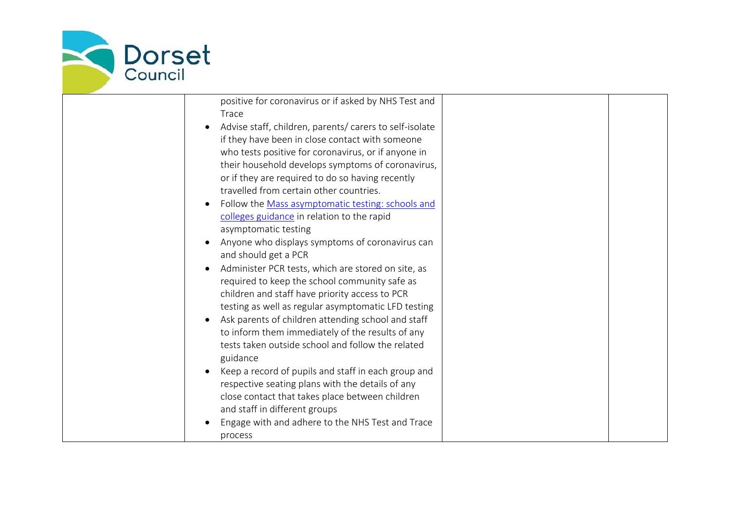

| positive for coronavirus or if asked by NHS Test and    |  |
|---------------------------------------------------------|--|
| Trace                                                   |  |
| Advise staff, children, parents/ carers to self-isolate |  |
| if they have been in close contact with someone         |  |
| who tests positive for coronavirus, or if anyone in     |  |
| their household develops symptoms of coronavirus,       |  |
| or if they are required to do so having recently        |  |
| travelled from certain other countries.                 |  |
| Follow the Mass asymptomatic testing: schools and       |  |
| colleges guidance in relation to the rapid              |  |
| asymptomatic testing                                    |  |
| Anyone who displays symptoms of coronavirus can         |  |
| and should get a PCR                                    |  |
| Administer PCR tests, which are stored on site, as      |  |
| required to keep the school community safe as           |  |
| children and staff have priority access to PCR          |  |
| testing as well as regular asymptomatic LFD testing     |  |
| Ask parents of children attending school and staff      |  |
| to inform them immediately of the results of any        |  |
| tests taken outside school and follow the related       |  |
| guidance                                                |  |
| Keep a record of pupils and staff in each group and     |  |
| respective seating plans with the details of any        |  |
| close contact that takes place between children         |  |
| and staff in different groups                           |  |
| Engage with and adhere to the NHS Test and Trace        |  |
| process                                                 |  |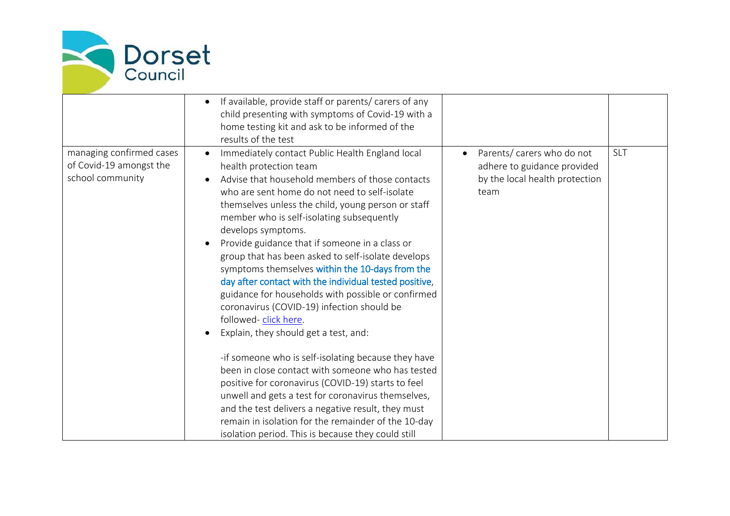

|                                                                         | If available, provide staff or parents/ carers of any<br>child presenting with symptoms of Covid-19 with a<br>home testing kit and ask to be informed of the<br>results of the test                                                                                                                                                                                                                                                                                                                                                                                                                                                                                                              |                                                                                                     |     |
|-------------------------------------------------------------------------|--------------------------------------------------------------------------------------------------------------------------------------------------------------------------------------------------------------------------------------------------------------------------------------------------------------------------------------------------------------------------------------------------------------------------------------------------------------------------------------------------------------------------------------------------------------------------------------------------------------------------------------------------------------------------------------------------|-----------------------------------------------------------------------------------------------------|-----|
| managing confirmed cases<br>of Covid-19 amongst the<br>school community | Immediately contact Public Health England local<br>health protection team<br>Advise that household members of those contacts<br>who are sent home do not need to self-isolate<br>themselves unless the child, young person or staff<br>member who is self-isolating subsequently<br>develops symptoms.<br>Provide guidance that if someone in a class or<br>group that has been asked to self-isolate develops<br>symptoms themselves within the 10-days from the<br>day after contact with the individual tested positive,<br>guidance for households with possible or confirmed<br>coronavirus (COVID-19) infection should be<br>followed-click here.<br>Explain, they should get a test, and: | Parents/ carers who do not<br>adhere to guidance provided<br>by the local health protection<br>team | SLT |
|                                                                         | -if someone who is self-isolating because they have<br>been in close contact with someone who has tested<br>positive for coronavirus (COVID-19) starts to feel<br>unwell and gets a test for coronavirus themselves,<br>and the test delivers a negative result, they must<br>remain in isolation for the remainder of the 10-day<br>isolation period. This is because they could still                                                                                                                                                                                                                                                                                                          |                                                                                                     |     |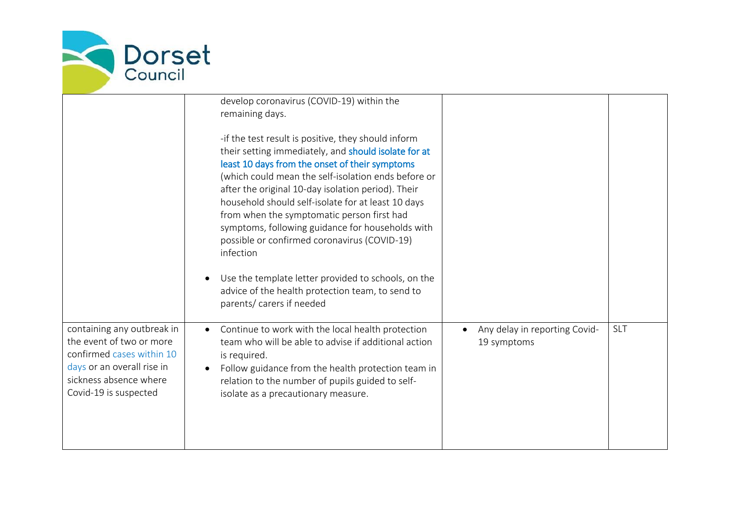

|                                                                                                                                                                      | develop coronavirus (COVID-19) within the<br>remaining days.<br>-if the test result is positive, they should inform<br>their setting immediately, and should isolate for at<br>least 10 days from the onset of their symptoms<br>(which could mean the self-isolation ends before or<br>after the original 10-day isolation period). Their<br>household should self-isolate for at least 10 days<br>from when the symptomatic person first had<br>symptoms, following guidance for households with<br>possible or confirmed coronavirus (COVID-19)<br>infection<br>Use the template letter provided to schools, on the<br>advice of the health protection team, to send to<br>parents/ carers if needed |                                              |            |
|----------------------------------------------------------------------------------------------------------------------------------------------------------------------|---------------------------------------------------------------------------------------------------------------------------------------------------------------------------------------------------------------------------------------------------------------------------------------------------------------------------------------------------------------------------------------------------------------------------------------------------------------------------------------------------------------------------------------------------------------------------------------------------------------------------------------------------------------------------------------------------------|----------------------------------------------|------------|
| containing any outbreak in<br>the event of two or more<br>confirmed cases within 10<br>days or an overall rise in<br>sickness absence where<br>Covid-19 is suspected | Continue to work with the local health protection<br>$\bullet$<br>team who will be able to advise if additional action<br>is required.<br>Follow guidance from the health protection team in<br>relation to the number of pupils guided to self-<br>isolate as a precautionary measure.                                                                                                                                                                                                                                                                                                                                                                                                                 | Any delay in reporting Covid-<br>19 symptoms | <b>SLT</b> |